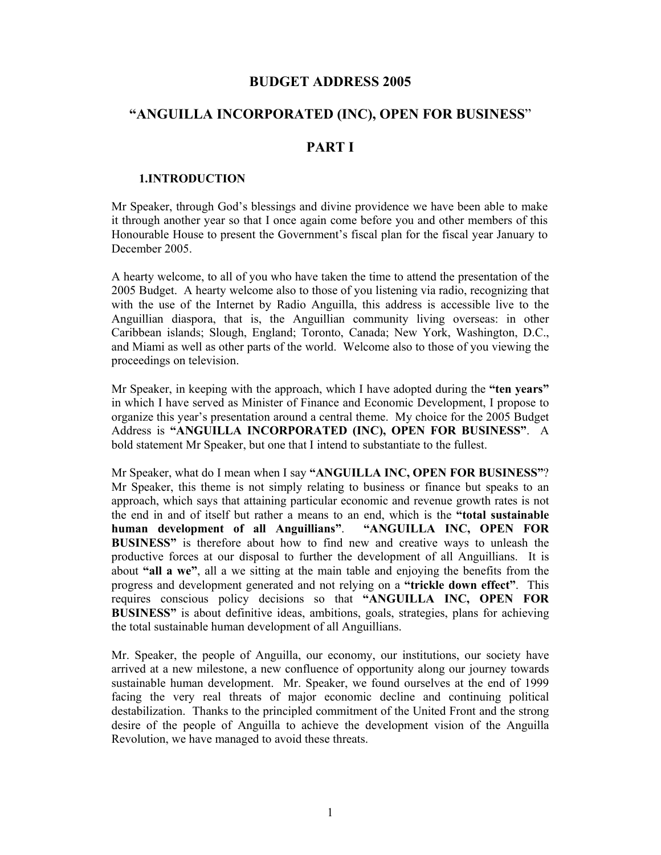### **BUDGET ADDRESS 2005**

# **"ANGUILLA INCORPORATED (INC), OPEN FOR BUSINESS**"

### **PART I**

#### **1.INTRODUCTION**

Mr Speaker, through God's blessings and divine providence we have been able to make it through another year so that I once again come before you and other members of this Honourable House to present the Government's fiscal plan for the fiscal year January to December 2005.

A hearty welcome, to all of you who have taken the time to attend the presentation of the 2005 Budget. A hearty welcome also to those of you listening via radio, recognizing that with the use of the Internet by Radio Anguilla, this address is accessible live to the Anguillian diaspora, that is, the Anguillian community living overseas: in other Caribbean islands; Slough, England; Toronto, Canada; New York, Washington, D.C., and Miami as well as other parts of the world. Welcome also to those of you viewing the proceedings on television.

Mr Speaker, in keeping with the approach, which I have adopted during the **"ten years"** in which I have served as Minister of Finance and Economic Development, I propose to organize this year's presentation around a central theme. My choice for the 2005 Budget Address is **"ANGUILLA INCORPORATED (INC), OPEN FOR BUSINESS"**. A bold statement Mr Speaker, but one that I intend to substantiate to the fullest.

Mr Speaker, what do I mean when I say **"ANGUILLA INC, OPEN FOR BUSINESS"**? Mr Speaker, this theme is not simply relating to business or finance but speaks to an approach, which says that attaining particular economic and revenue growth rates is not the end in and of itself but rather a means to an end, which is the **"total sustainable human development of all Anguillians"**. **"ANGUILLA INC, OPEN FOR BUSINESS"** is therefore about how to find new and creative ways to unleash the productive forces at our disposal to further the development of all Anguillians. It is about **"all a we"**, all a we sitting at the main table and enjoying the benefits from the progress and development generated and not relying on a **"trickle down effect"**. This requires conscious policy decisions so that **"ANGUILLA INC, OPEN FOR BUSINESS"** is about definitive ideas, ambitions, goals, strategies, plans for achieving the total sustainable human development of all Anguillians.

Mr. Speaker, the people of Anguilla, our economy, our institutions, our society have arrived at a new milestone, a new confluence of opportunity along our journey towards sustainable human development. Mr. Speaker, we found ourselves at the end of 1999 facing the very real threats of major economic decline and continuing political destabilization. Thanks to the principled commitment of the United Front and the strong desire of the people of Anguilla to achieve the development vision of the Anguilla Revolution, we have managed to avoid these threats.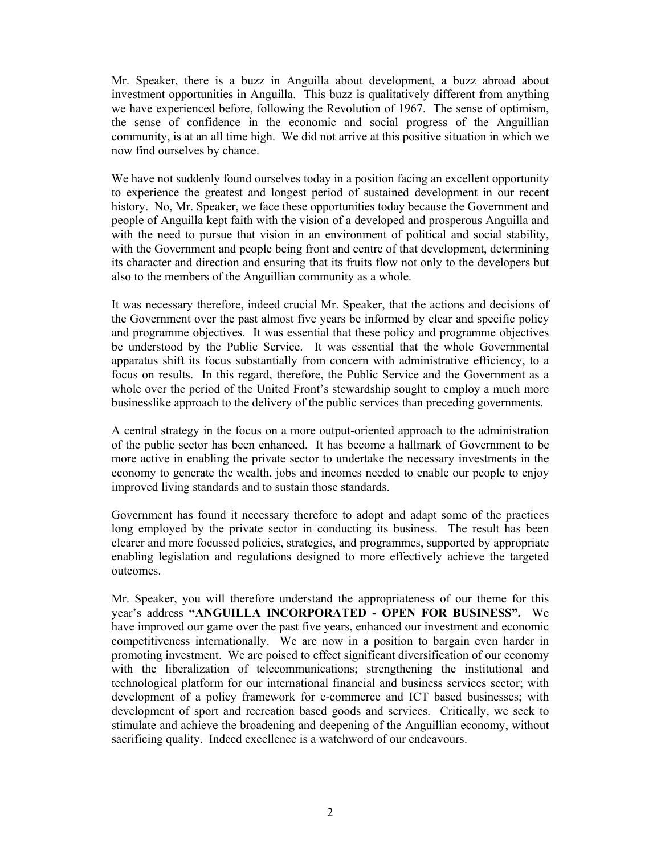Mr. Speaker, there is a buzz in Anguilla about development, a buzz abroad about investment opportunities in Anguilla. This buzz is qualitatively different from anything we have experienced before, following the Revolution of 1967. The sense of optimism, the sense of confidence in the economic and social progress of the Anguillian community, is at an all time high. We did not arrive at this positive situation in which we now find ourselves by chance.

We have not suddenly found ourselves today in a position facing an excellent opportunity to experience the greatest and longest period of sustained development in our recent history. No, Mr. Speaker, we face these opportunities today because the Government and people of Anguilla kept faith with the vision of a developed and prosperous Anguilla and with the need to pursue that vision in an environment of political and social stability, with the Government and people being front and centre of that development, determining its character and direction and ensuring that its fruits flow not only to the developers but also to the members of the Anguillian community as a whole.

It was necessary therefore, indeed crucial Mr. Speaker, that the actions and decisions of the Government over the past almost five years be informed by clear and specific policy and programme objectives. It was essential that these policy and programme objectives be understood by the Public Service. It was essential that the whole Governmental apparatus shift its focus substantially from concern with administrative efficiency, to a focus on results. In this regard, therefore, the Public Service and the Government as a whole over the period of the United Front's stewardship sought to employ a much more businesslike approach to the delivery of the public services than preceding governments.

A central strategy in the focus on a more output-oriented approach to the administration of the public sector has been enhanced. It has become a hallmark of Government to be more active in enabling the private sector to undertake the necessary investments in the economy to generate the wealth, jobs and incomes needed to enable our people to enjoy improved living standards and to sustain those standards.

Government has found it necessary therefore to adopt and adapt some of the practices long employed by the private sector in conducting its business. The result has been clearer and more focussed policies, strategies, and programmes, supported by appropriate enabling legislation and regulations designed to more effectively achieve the targeted outcomes.

Mr. Speaker, you will therefore understand the appropriateness of our theme for this year's address **"ANGUILLA INCORPORATED - OPEN FOR BUSINESS".** We have improved our game over the past five years, enhanced our investment and economic competitiveness internationally. We are now in a position to bargain even harder in promoting investment. We are poised to effect significant diversification of our economy with the liberalization of telecommunications; strengthening the institutional and technological platform for our international financial and business services sector; with development of a policy framework for e-commerce and ICT based businesses; with development of sport and recreation based goods and services. Critically, we seek to stimulate and achieve the broadening and deepening of the Anguillian economy, without sacrificing quality. Indeed excellence is a watchword of our endeavours.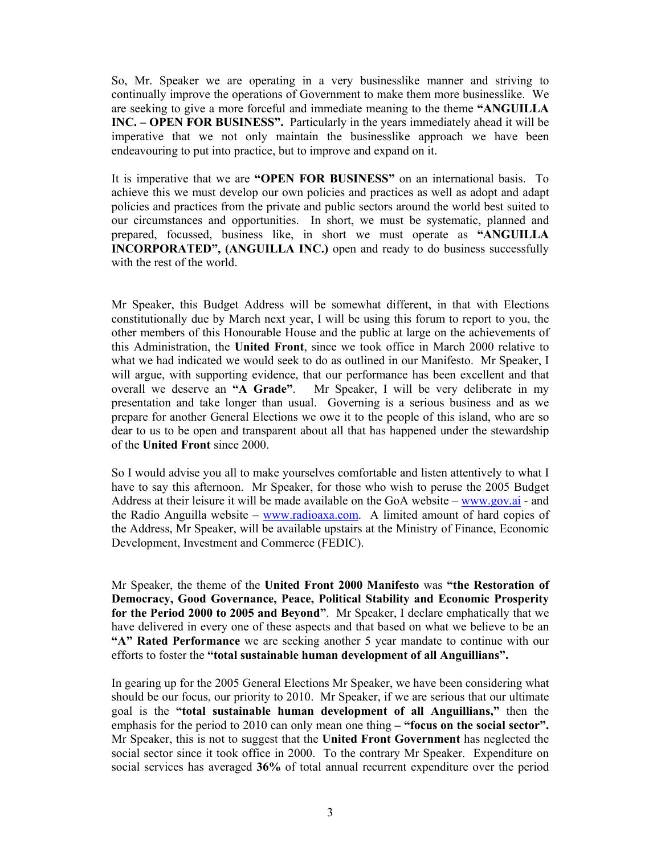So, Mr. Speaker we are operating in a very businesslike manner and striving to continually improve the operations of Government to make them more businesslike. We are seeking to give a more forceful and immediate meaning to the theme **"ANGUILLA INC. – OPEN FOR BUSINESS".** Particularly in the years immediately ahead it will be imperative that we not only maintain the businesslike approach we have been endeavouring to put into practice, but to improve and expand on it.

It is imperative that we are **"OPEN FOR BUSINESS"** on an international basis. To achieve this we must develop our own policies and practices as well as adopt and adapt policies and practices from the private and public sectors around the world best suited to our circumstances and opportunities. In short, we must be systematic, planned and prepared, focussed, business like, in short we must operate as **"ANGUILLA INCORPORATED", (ANGUILLA INC.)** open and ready to do business successfully with the rest of the world.

Mr Speaker, this Budget Address will be somewhat different, in that with Elections constitutionally due by March next year, I will be using this forum to report to you, the other members of this Honourable House and the public at large on the achievements of this Administration, the **United Front**, since we took office in March 2000 relative to what we had indicated we would seek to do as outlined in our Manifesto. Mr Speaker, I will argue, with supporting evidence, that our performance has been excellent and that overall we deserve an **"A Grade"**. Mr Speaker, I will be very deliberate in my presentation and take longer than usual. Governing is a serious business and as we prepare for another General Elections we owe it to the people of this island, who are so dear to us to be open and transparent about all that has happened under the stewardship of the **United Front** since 2000.

So I would advise you all to make yourselves comfortable and listen attentively to what I have to say this afternoon. Mr Speaker, for those who wish to peruse the 2005 Budget Address at their leisure it will be made available on the GoA website – www.gov.ai - and the Radio Anguilla website – www.radioaxa.com. A limited amount of hard copies of the Address, Mr Speaker, will be available upstairs at the Ministry of Finance, Economic Development, Investment and Commerce (FEDIC).

Mr Speaker, the theme of the **United Front 2000 Manifesto** was **"the Restoration of Democracy, Good Governance, Peace, Political Stability and Economic Prosperity for the Period 2000 to 2005 and Beyond"**. Mr Speaker, I declare emphatically that we have delivered in every one of these aspects and that based on what we believe to be an **"A" Rated Performance** we are seeking another 5 year mandate to continue with our efforts to foster the **"total sustainable human development of all Anguillians".** 

In gearing up for the 2005 General Elections Mr Speaker, we have been considering what should be our focus, our priority to 2010. Mr Speaker, if we are serious that our ultimate goal is the **"total sustainable human development of all Anguillians,"** then the emphasis for the period to 2010 can only mean one thing – "focus on the social sector". Mr Speaker, this is not to suggest that the **United Front Government** has neglected the social sector since it took office in 2000. To the contrary Mr Speaker. Expenditure on social services has averaged **36%** of total annual recurrent expenditure over the period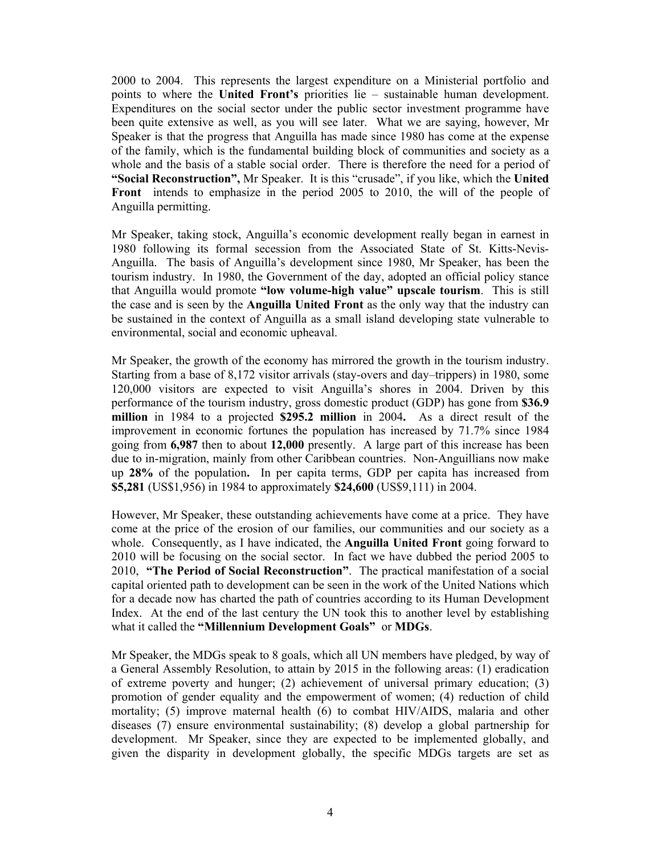2000 to 2004. This represents the largest expenditure on a Ministerial portfolio and points to where the **United Front's** priorities lie – sustainable human development. Expenditures on the social sector under the public sector investment programme have been quite extensive as well, as you will see later. What we are saying, however, Mr Speaker is that the progress that Anguilla has made since 1980 has come at the expense of the family, which is the fundamental building block of communities and society as a whole and the basis of a stable social order. There is therefore the need for a period of **"Social Reconstruction",** Mr Speaker. It is this "crusade", if you like, which the **United Front** intends to emphasize in the period 2005 to 2010, the will of the people of Anguilla permitting.

Mr Speaker, taking stock, Anguilla's economic development really began in earnest in 1980 following its formal secession from the Associated State of St. Kitts-Nevis-Anguilla. The basis of Anguilla's development since 1980, Mr Speaker, has been the tourism industry. In 1980, the Government of the day, adopted an official policy stance that Anguilla would promote **"low volume-high value" upscale tourism**. This is still the case and is seen by the **Anguilla United Front** as the only way that the industry can be sustained in the context of Anguilla as a small island developing state vulnerable to environmental, social and economic upheaval.

Mr Speaker, the growth of the economy has mirrored the growth in the tourism industry. Starting from a base of 8,172 visitor arrivals (stay-overs and day–trippers) in 1980, some 120,000 visitors are expected to visit Anguilla's shores in 2004. Driven by this performance of the tourism industry, gross domestic product (GDP) has gone from **\$36.9 million** in 1984 to a projected **\$295.2 million** in 2004**.** As a direct result of the improvement in economic fortunes the population has increased by 71.7% since 1984 going from **6,987** then to about **12,000** presently. A large part of this increase has been due to in-migration, mainly from other Caribbean countries. Non-Anguillians now make up **28%** of the population**.** In per capita terms, GDP per capita has increased from **\$5,281** (US\$1,956) in 1984 to approximately **\$24,600** (US\$9,111) in 2004.

However, Mr Speaker, these outstanding achievements have come at a price. They have come at the price of the erosion of our families, our communities and our society as a whole. Consequently, as I have indicated, the **Anguilla United Front** going forward to 2010 will be focusing on the social sector. In fact we have dubbed the period 2005 to 2010, **"The Period of Social Reconstruction"**. The practical manifestation of a social capital oriented path to development can be seen in the work of the United Nations which for a decade now has charted the path of countries according to its Human Development Index. At the end of the last century the UN took this to another level by establishing what it called the **"Millennium Development Goals"** or **MDGs**.

Mr Speaker, the MDGs speak to 8 goals, which all UN members have pledged, by way of a General Assembly Resolution, to attain by 2015 in the following areas: (1) eradication of extreme poverty and hunger; (2) achievement of universal primary education; (3) promotion of gender equality and the empowerment of women; (4) reduction of child mortality; (5) improve maternal health (6) to combat HIV/AIDS, malaria and other diseases (7) ensure environmental sustainability; (8) develop a global partnership for development. Mr Speaker, since they are expected to be implemented globally, and given the disparity in development globally, the specific MDGs targets are set as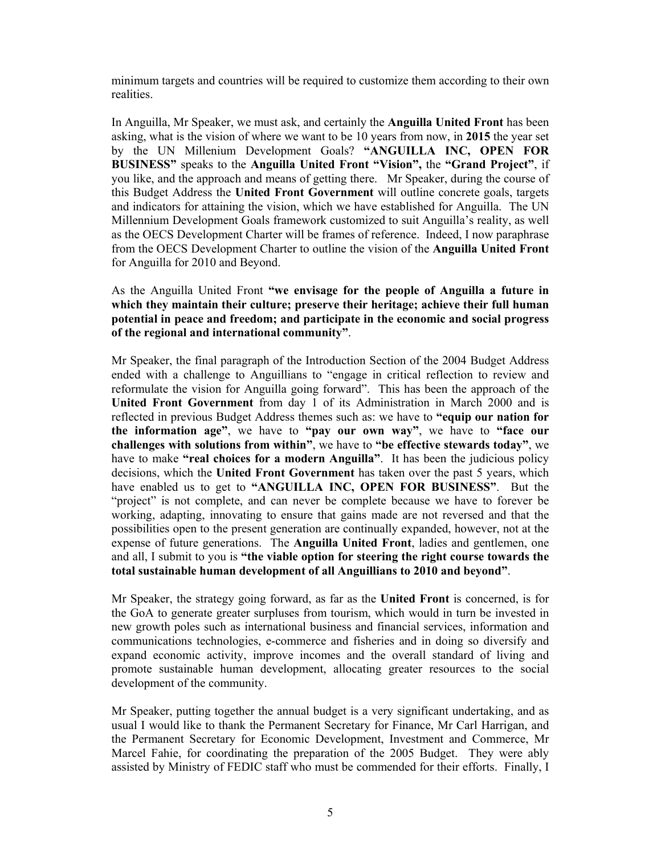minimum targets and countries will be required to customize them according to their own realities.

In Anguilla, Mr Speaker, we must ask, and certainly the **Anguilla United Front** has been asking, what is the vision of where we want to be 10 years from now, in **2015** the year set by the UN Millenium Development Goals? **"ANGUILLA INC, OPEN FOR BUSINESS"** speaks to the **Anguilla United Front "Vision",** the **"Grand Project"**, if you like, and the approach and means of getting there. Mr Speaker, during the course of this Budget Address the **United Front Government** will outline concrete goals, targets and indicators for attaining the vision, which we have established for Anguilla. The UN Millennium Development Goals framework customized to suit Anguilla's reality, as well as the OECS Development Charter will be frames of reference. Indeed, I now paraphrase from the OECS Development Charter to outline the vision of the **Anguilla United Front** for Anguilla for 2010 and Beyond.

As the Anguilla United Front **"we envisage for the people of Anguilla a future in which they maintain their culture; preserve their heritage; achieve their full human potential in peace and freedom; and participate in the economic and social progress of the regional and international community"**.

Mr Speaker, the final paragraph of the Introduction Section of the 2004 Budget Address ended with a challenge to Anguillians to "engage in critical reflection to review and reformulate the vision for Anguilla going forward". This has been the approach of the **United Front Government** from day 1 of its Administration in March 2000 and is reflected in previous Budget Address themes such as: we have to **"equip our nation for the information age"**, we have to **"pay our own way"**, we have to **"face our challenges with solutions from within"**, we have to **"be effective stewards today"**, we have to make **"real choices for a modern Anguilla"**. It has been the judicious policy decisions, which the **United Front Government** has taken over the past 5 years, which have enabled us to get to **"ANGUILLA INC, OPEN FOR BUSINESS"**. But the "project" is not complete, and can never be complete because we have to forever be working, adapting, innovating to ensure that gains made are not reversed and that the possibilities open to the present generation are continually expanded, however, not at the expense of future generations. The **Anguilla United Front**, ladies and gentlemen, one and all, I submit to you is **"the viable option for steering the right course towards the total sustainable human development of all Anguillians to 2010 and beyond"**.

Mr Speaker, the strategy going forward, as far as the **United Front** is concerned, is for the GoA to generate greater surpluses from tourism, which would in turn be invested in new growth poles such as international business and financial services, information and communications technologies, e-commerce and fisheries and in doing so diversify and expand economic activity, improve incomes and the overall standard of living and promote sustainable human development, allocating greater resources to the social development of the community.

Mr Speaker, putting together the annual budget is a very significant undertaking, and as usual I would like to thank the Permanent Secretary for Finance, Mr Carl Harrigan, and the Permanent Secretary for Economic Development, Investment and Commerce, Mr Marcel Fahie, for coordinating the preparation of the 2005 Budget. They were ably assisted by Ministry of FEDIC staff who must be commended for their efforts. Finally, I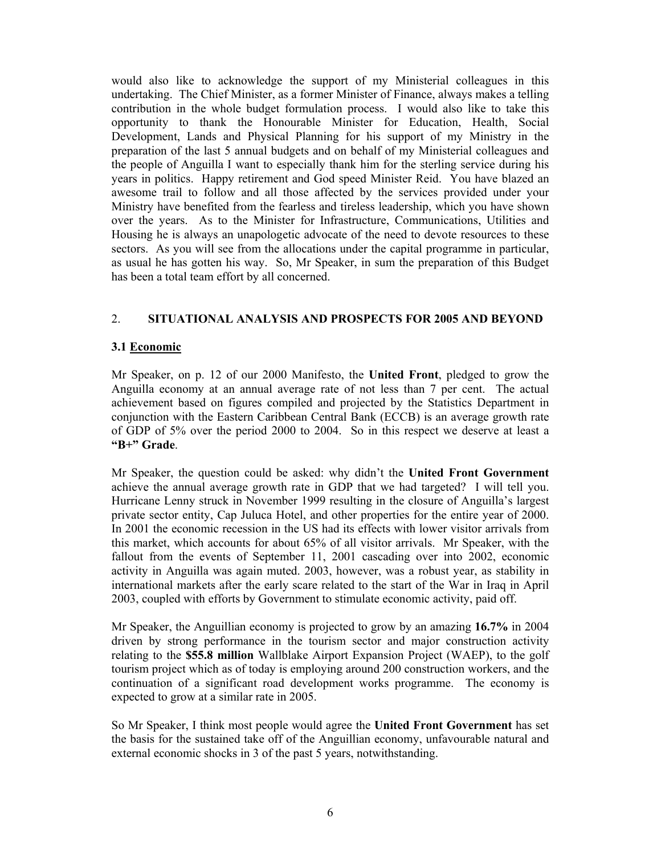would also like to acknowledge the support of my Ministerial colleagues in this undertaking. The Chief Minister, as a former Minister of Finance, always makes a telling contribution in the whole budget formulation process. I would also like to take this opportunity to thank the Honourable Minister for Education, Health, Social Development, Lands and Physical Planning for his support of my Ministry in the preparation of the last 5 annual budgets and on behalf of my Ministerial colleagues and the people of Anguilla I want to especially thank him for the sterling service during his years in politics. Happy retirement and God speed Minister Reid. You have blazed an awesome trail to follow and all those affected by the services provided under your Ministry have benefited from the fearless and tireless leadership, which you have shown over the years. As to the Minister for Infrastructure, Communications, Utilities and Housing he is always an unapologetic advocate of the need to devote resources to these sectors. As you will see from the allocations under the capital programme in particular, as usual he has gotten his way. So, Mr Speaker, in sum the preparation of this Budget has been a total team effort by all concerned.

### 2. **SITUATIONAL ANALYSIS AND PROSPECTS FOR 2005 AND BEYOND**

### **3.1 Economic**

Mr Speaker, on p. 12 of our 2000 Manifesto, the **United Front**, pledged to grow the Anguilla economy at an annual average rate of not less than 7 per cent. The actual achievement based on figures compiled and projected by the Statistics Department in conjunction with the Eastern Caribbean Central Bank (ECCB) is an average growth rate of GDP of 5% over the period 2000 to 2004. So in this respect we deserve at least a **"B+" Grade**.

Mr Speaker, the question could be asked: why didn't the **United Front Government** achieve the annual average growth rate in GDP that we had targeted? I will tell you. Hurricane Lenny struck in November 1999 resulting in the closure of Anguilla's largest private sector entity, Cap Juluca Hotel, and other properties for the entire year of 2000. In 2001 the economic recession in the US had its effects with lower visitor arrivals from this market, which accounts for about 65% of all visitor arrivals. Mr Speaker, with the fallout from the events of September 11, 2001 cascading over into 2002, economic activity in Anguilla was again muted. 2003, however, was a robust year, as stability in international markets after the early scare related to the start of the War in Iraq in April 2003, coupled with efforts by Government to stimulate economic activity, paid off.

Mr Speaker, the Anguillian economy is projected to grow by an amazing **16.7%** in 2004 driven by strong performance in the tourism sector and major construction activity relating to the **\$55.8 million** Wallblake Airport Expansion Project (WAEP), to the golf tourism project which as of today is employing around 200 construction workers, and the continuation of a significant road development works programme. The economy is expected to grow at a similar rate in 2005.

So Mr Speaker, I think most people would agree the **United Front Government** has set the basis for the sustained take off of the Anguillian economy, unfavourable natural and external economic shocks in 3 of the past 5 years, notwithstanding.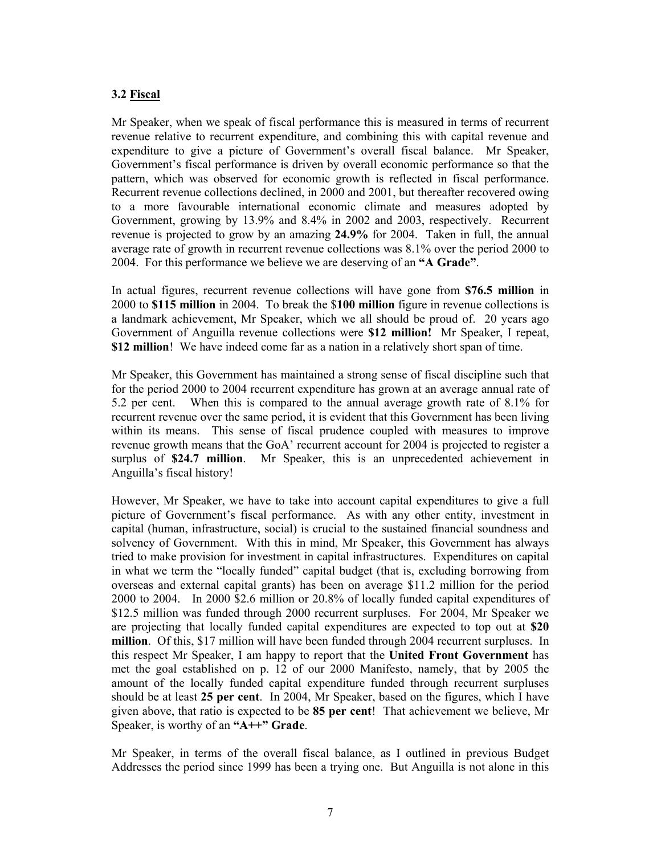# **3.2 Fiscal**

Mr Speaker, when we speak of fiscal performance this is measured in terms of recurrent revenue relative to recurrent expenditure, and combining this with capital revenue and expenditure to give a picture of Government's overall fiscal balance. Mr Speaker, Government's fiscal performance is driven by overall economic performance so that the pattern, which was observed for economic growth is reflected in fiscal performance. Recurrent revenue collections declined, in 2000 and 2001, but thereafter recovered owing to a more favourable international economic climate and measures adopted by Government, growing by 13.9% and 8.4% in 2002 and 2003, respectively. Recurrent revenue is projected to grow by an amazing **24.9%** for 2004. Taken in full, the annual average rate of growth in recurrent revenue collections was 8.1% over the period 2000 to 2004. For this performance we believe we are deserving of an **"A Grade"**.

In actual figures, recurrent revenue collections will have gone from **\$76.5 million** in 2000 to **\$115 million** in 2004. To break the \$**100 million** figure in revenue collections is a landmark achievement, Mr Speaker, which we all should be proud of. 20 years ago Government of Anguilla revenue collections were **\$12 million!** Mr Speaker, I repeat, **\$12 million**! We have indeed come far as a nation in a relatively short span of time.

Mr Speaker, this Government has maintained a strong sense of fiscal discipline such that for the period 2000 to 2004 recurrent expenditure has grown at an average annual rate of 5.2 per cent. When this is compared to the annual average growth rate of 8.1% for recurrent revenue over the same period, it is evident that this Government has been living within its means. This sense of fiscal prudence coupled with measures to improve revenue growth means that the GoA' recurrent account for 2004 is projected to register a surplus of **\$24.7 million**. Mr Speaker, this is an unprecedented achievement in Anguilla's fiscal history!

However, Mr Speaker, we have to take into account capital expenditures to give a full picture of Government's fiscal performance. As with any other entity, investment in capital (human, infrastructure, social) is crucial to the sustained financial soundness and solvency of Government. With this in mind, Mr Speaker, this Government has always tried to make provision for investment in capital infrastructures. Expenditures on capital in what we term the "locally funded" capital budget (that is, excluding borrowing from overseas and external capital grants) has been on average \$11.2 million for the period 2000 to 2004. In 2000 \$2.6 million or 20.8% of locally funded capital expenditures of \$12.5 million was funded through 2000 recurrent surpluses. For 2004, Mr Speaker we are projecting that locally funded capital expenditures are expected to top out at **\$20 million**. Of this, \$17 million will have been funded through 2004 recurrent surpluses. In this respect Mr Speaker, I am happy to report that the **United Front Government** has met the goal established on p. 12 of our 2000 Manifesto, namely, that by 2005 the amount of the locally funded capital expenditure funded through recurrent surpluses should be at least **25 per cent**. In 2004, Mr Speaker, based on the figures, which I have given above, that ratio is expected to be **85 per cent**! That achievement we believe, Mr Speaker, is worthy of an **"A++" Grade**.

Mr Speaker, in terms of the overall fiscal balance, as I outlined in previous Budget Addresses the period since 1999 has been a trying one. But Anguilla is not alone in this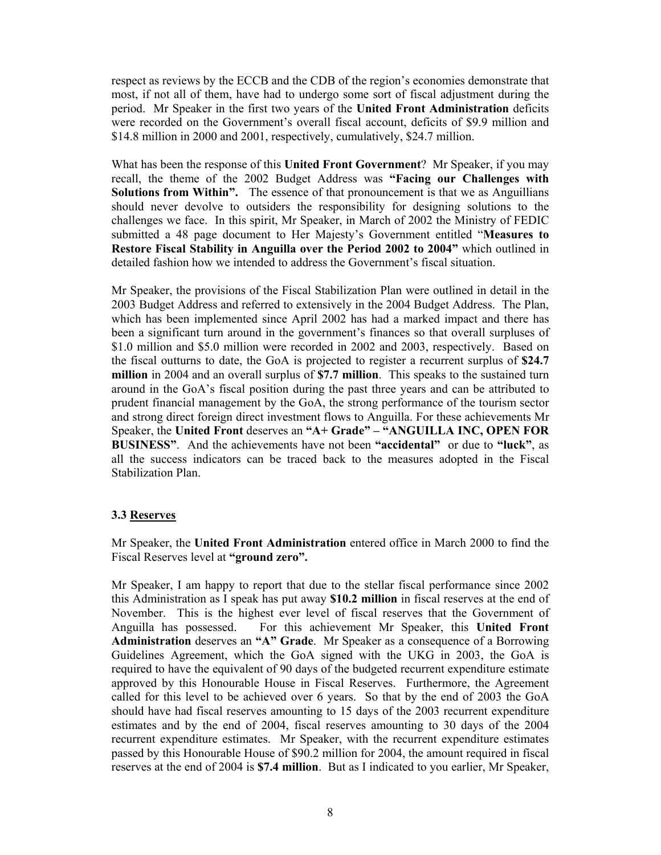respect as reviews by the ECCB and the CDB of the region's economies demonstrate that most, if not all of them, have had to undergo some sort of fiscal adjustment during the period. Mr Speaker in the first two years of the **United Front Administration** deficits were recorded on the Government's overall fiscal account, deficits of \$9.9 million and \$14.8 million in 2000 and 2001, respectively, cumulatively, \$24.7 million.

What has been the response of this **United Front Government**? Mr Speaker, if you may recall, the theme of the 2002 Budget Address was **"Facing our Challenges with Solutions from Within".** The essence of that pronouncement is that we as Anguillians should never devolve to outsiders the responsibility for designing solutions to the challenges we face. In this spirit, Mr Speaker, in March of 2002 the Ministry of FEDIC submitted a 48 page document to Her Majesty's Government entitled "**Measures to Restore Fiscal Stability in Anguilla over the Period 2002 to 2004"** which outlined in detailed fashion how we intended to address the Government's fiscal situation.

Mr Speaker, the provisions of the Fiscal Stabilization Plan were outlined in detail in the 2003 Budget Address and referred to extensively in the 2004 Budget Address. The Plan, which has been implemented since April 2002 has had a marked impact and there has been a significant turn around in the government's finances so that overall surpluses of \$1.0 million and \$5.0 million were recorded in 2002 and 2003, respectively. Based on the fiscal outturns to date, the GoA is projected to register a recurrent surplus of **\$24.7 million** in 2004 and an overall surplus of **\$7.7 million**. This speaks to the sustained turn around in the GoA's fiscal position during the past three years and can be attributed to prudent financial management by the GoA, the strong performance of the tourism sector and strong direct foreign direct investment flows to Anguilla. For these achievements Mr Speaker, the **United Front** deserves an **"A+ Grade" – "ANGUILLA INC, OPEN FOR BUSINESS"**. And the achievements have not been **"accidental"** or due to **"luck"**, as all the success indicators can be traced back to the measures adopted in the Fiscal Stabilization Plan.

### **3.3 Reserves**

Mr Speaker, the **United Front Administration** entered office in March 2000 to find the Fiscal Reserves level at **"ground zero".**

Mr Speaker, I am happy to report that due to the stellar fiscal performance since 2002 this Administration as I speak has put away **\$10.2 million** in fiscal reserves at the end of November. This is the highest ever level of fiscal reserves that the Government of Anguilla has possessed. For this achievement Mr Speaker, this **United Front Administration** deserves an **"A" Grade**. Mr Speaker as a consequence of a Borrowing Guidelines Agreement, which the GoA signed with the UKG in 2003, the GoA is required to have the equivalent of 90 days of the budgeted recurrent expenditure estimate approved by this Honourable House in Fiscal Reserves. Furthermore, the Agreement called for this level to be achieved over 6 years. So that by the end of 2003 the GoA should have had fiscal reserves amounting to 15 days of the 2003 recurrent expenditure estimates and by the end of 2004, fiscal reserves amounting to 30 days of the 2004 recurrent expenditure estimates. Mr Speaker, with the recurrent expenditure estimates passed by this Honourable House of \$90.2 million for 2004, the amount required in fiscal reserves at the end of 2004 is **\$7.4 million**. But as I indicated to you earlier, Mr Speaker,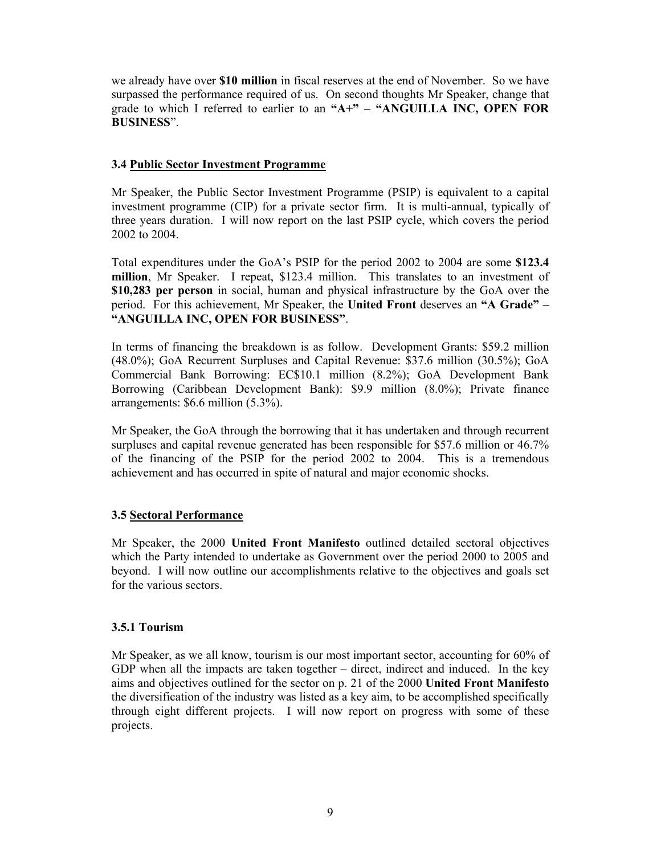we already have over **\$10 million** in fiscal reserves at the end of November. So we have surpassed the performance required of us. On second thoughts Mr Speaker, change that grade to which I referred to earlier to an **"A+" – "ANGUILLA INC, OPEN FOR BUSINESS**".

### **3.4 Public Sector Investment Programme**

Mr Speaker, the Public Sector Investment Programme (PSIP) is equivalent to a capital investment programme (CIP) for a private sector firm. It is multi-annual, typically of three years duration. I will now report on the last PSIP cycle, which covers the period 2002 to 2004.

Total expenditures under the GoA's PSIP for the period 2002 to 2004 are some **\$123.4 million**, Mr Speaker. I repeat, \$123.4 million. This translates to an investment of **\$10,283 per person** in social, human and physical infrastructure by the GoA over the period. For this achievement, Mr Speaker, the **United Front** deserves an **"A Grade" – "ANGUILLA INC, OPEN FOR BUSINESS"**.

In terms of financing the breakdown is as follow. Development Grants: \$59.2 million (48.0%); GoA Recurrent Surpluses and Capital Revenue: \$37.6 million (30.5%); GoA Commercial Bank Borrowing: EC\$10.1 million (8.2%); GoA Development Bank Borrowing (Caribbean Development Bank): \$9.9 million (8.0%); Private finance arrangements: \$6.6 million (5.3%).

Mr Speaker, the GoA through the borrowing that it has undertaken and through recurrent surpluses and capital revenue generated has been responsible for \$57.6 million or 46.7% of the financing of the PSIP for the period 2002 to 2004. This is a tremendous achievement and has occurred in spite of natural and major economic shocks.

#### **3.5 Sectoral Performance**

Mr Speaker, the 2000 **United Front Manifesto** outlined detailed sectoral objectives which the Party intended to undertake as Government over the period 2000 to 2005 and beyond. I will now outline our accomplishments relative to the objectives and goals set for the various sectors.

#### **3.5.1 Tourism**

Mr Speaker, as we all know, tourism is our most important sector, accounting for 60% of GDP when all the impacts are taken together – direct, indirect and induced. In the key aims and objectives outlined for the sector on p. 21 of the 2000 **United Front Manifesto** the diversification of the industry was listed as a key aim, to be accomplished specifically through eight different projects. I will now report on progress with some of these projects.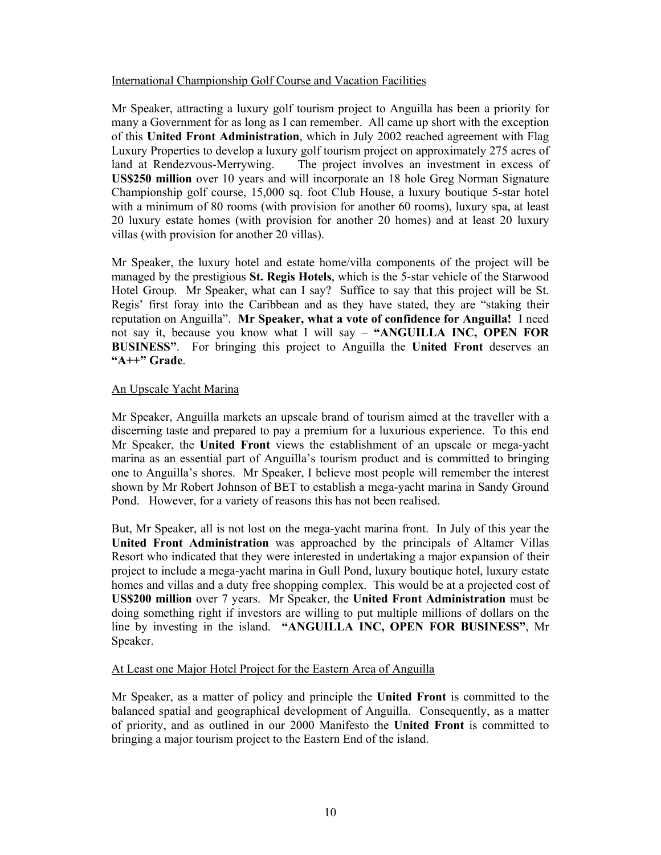### International Championship Golf Course and Vacation Facilities

Mr Speaker, attracting a luxury golf tourism project to Anguilla has been a priority for many a Government for as long as I can remember. All came up short with the exception of this **United Front Administration**, which in July 2002 reached agreement with Flag Luxury Properties to develop a luxury golf tourism project on approximately 275 acres of land at Rendezvous-Merrywing. The project involves an investment in excess of **US\$250 million** over 10 years and will incorporate an 18 hole Greg Norman Signature Championship golf course, 15,000 sq. foot Club House, a luxury boutique 5-star hotel with a minimum of 80 rooms (with provision for another 60 rooms), luxury spa, at least 20 luxury estate homes (with provision for another 20 homes) and at least 20 luxury villas (with provision for another 20 villas).

Mr Speaker, the luxury hotel and estate home/villa components of the project will be managed by the prestigious **St. Regis Hotels**, which is the 5-star vehicle of the Starwood Hotel Group. Mr Speaker, what can I say? Suffice to say that this project will be St. Regis' first foray into the Caribbean and as they have stated, they are "staking their reputation on Anguilla". **Mr Speaker, what a vote of confidence for Anguilla!** I need not say it, because you know what I will say – **"ANGUILLA INC, OPEN FOR BUSINESS"**. For bringing this project to Anguilla the **United Front** deserves an **"A++" Grade**.

### An Upscale Yacht Marina

Mr Speaker, Anguilla markets an upscale brand of tourism aimed at the traveller with a discerning taste and prepared to pay a premium for a luxurious experience. To this end Mr Speaker, the **United Front** views the establishment of an upscale or mega-yacht marina as an essential part of Anguilla's tourism product and is committed to bringing one to Anguilla's shores. Mr Speaker, I believe most people will remember the interest shown by Mr Robert Johnson of BET to establish a mega-yacht marina in Sandy Ground Pond. However, for a variety of reasons this has not been realised.

But, Mr Speaker, all is not lost on the mega-yacht marina front. In July of this year the **United Front Administration** was approached by the principals of Altamer Villas Resort who indicated that they were interested in undertaking a major expansion of their project to include a mega-yacht marina in Gull Pond, luxury boutique hotel, luxury estate homes and villas and a duty free shopping complex. This would be at a projected cost of **US\$200 million** over 7 years. Mr Speaker, the **United Front Administration** must be doing something right if investors are willing to put multiple millions of dollars on the line by investing in the island. **"ANGUILLA INC, OPEN FOR BUSINESS"**, Mr Speaker.

#### At Least one Major Hotel Project for the Eastern Area of Anguilla

Mr Speaker, as a matter of policy and principle the **United Front** is committed to the balanced spatial and geographical development of Anguilla. Consequently, as a matter of priority, and as outlined in our 2000 Manifesto the **United Front** is committed to bringing a major tourism project to the Eastern End of the island.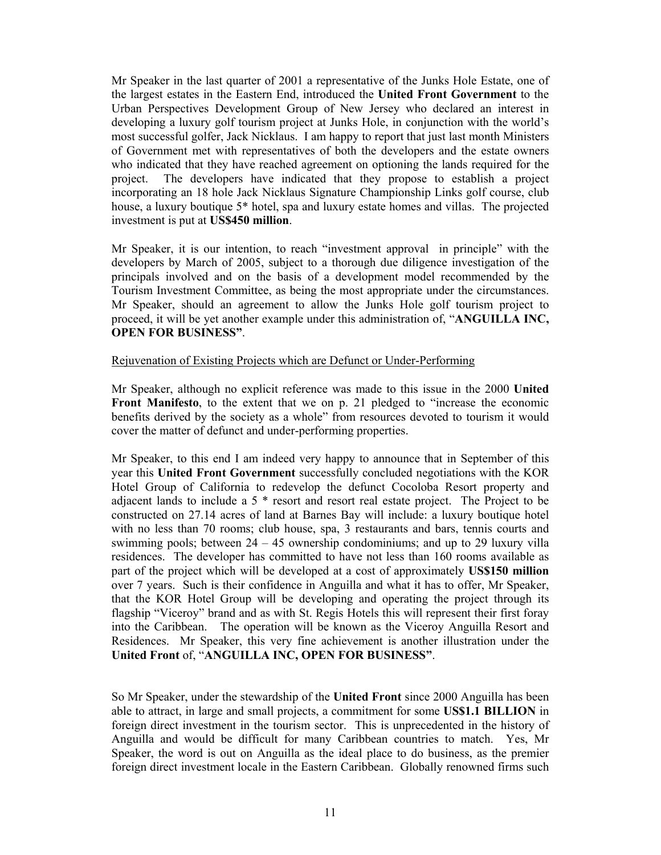Mr Speaker in the last quarter of 2001 a representative of the Junks Hole Estate, one of the largest estates in the Eastern End, introduced the **United Front Government** to the Urban Perspectives Development Group of New Jersey who declared an interest in developing a luxury golf tourism project at Junks Hole, in conjunction with the world's most successful golfer, Jack Nicklaus. I am happy to report that just last month Ministers of Government met with representatives of both the developers and the estate owners who indicated that they have reached agreement on optioning the lands required for the project. The developers have indicated that they propose to establish a project incorporating an 18 hole Jack Nicklaus Signature Championship Links golf course, club house, a luxury boutique 5<sup>\*</sup> hotel, spa and luxury estate homes and villas. The projected investment is put at **US\$450 million**.

Mr Speaker, it is our intention, to reach "investment approval in principle" with the developers by March of 2005, subject to a thorough due diligence investigation of the principals involved and on the basis of a development model recommended by the Tourism Investment Committee, as being the most appropriate under the circumstances. Mr Speaker, should an agreement to allow the Junks Hole golf tourism project to proceed, it will be yet another example under this administration of, "**ANGUILLA INC, OPEN FOR BUSINESS"**.

#### Rejuvenation of Existing Projects which are Defunct or Under-Performing

Mr Speaker, although no explicit reference was made to this issue in the 2000 **United Front Manifesto**, to the extent that we on p. 21 pledged to "increase the economic benefits derived by the society as a whole" from resources devoted to tourism it would cover the matter of defunct and under-performing properties.

Mr Speaker, to this end I am indeed very happy to announce that in September of this year this **United Front Government** successfully concluded negotiations with the KOR Hotel Group of California to redevelop the defunct Cocoloba Resort property and adjacent lands to include a 5 \* resort and resort real estate project. The Project to be constructed on 27.14 acres of land at Barnes Bay will include: a luxury boutique hotel with no less than 70 rooms; club house, spa, 3 restaurants and bars, tennis courts and swimming pools; between  $24 - 45$  ownership condominiums; and up to 29 luxury villa residences. The developer has committed to have not less than 160 rooms available as part of the project which will be developed at a cost of approximately **US\$150 million** over 7 years. Such is their confidence in Anguilla and what it has to offer, Mr Speaker, that the KOR Hotel Group will be developing and operating the project through its flagship "Viceroy" brand and as with St. Regis Hotels this will represent their first foray into the Caribbean. The operation will be known as the Viceroy Anguilla Resort and Residences. Mr Speaker, this very fine achievement is another illustration under the **United Front** of, "**ANGUILLA INC, OPEN FOR BUSINESS"**.

So Mr Speaker, under the stewardship of the **United Front** since 2000 Anguilla has been able to attract, in large and small projects, a commitment for some **US\$1.1 BILLION** in foreign direct investment in the tourism sector. This is unprecedented in the history of Anguilla and would be difficult for many Caribbean countries to match. Yes, Mr Speaker, the word is out on Anguilla as the ideal place to do business, as the premier foreign direct investment locale in the Eastern Caribbean. Globally renowned firms such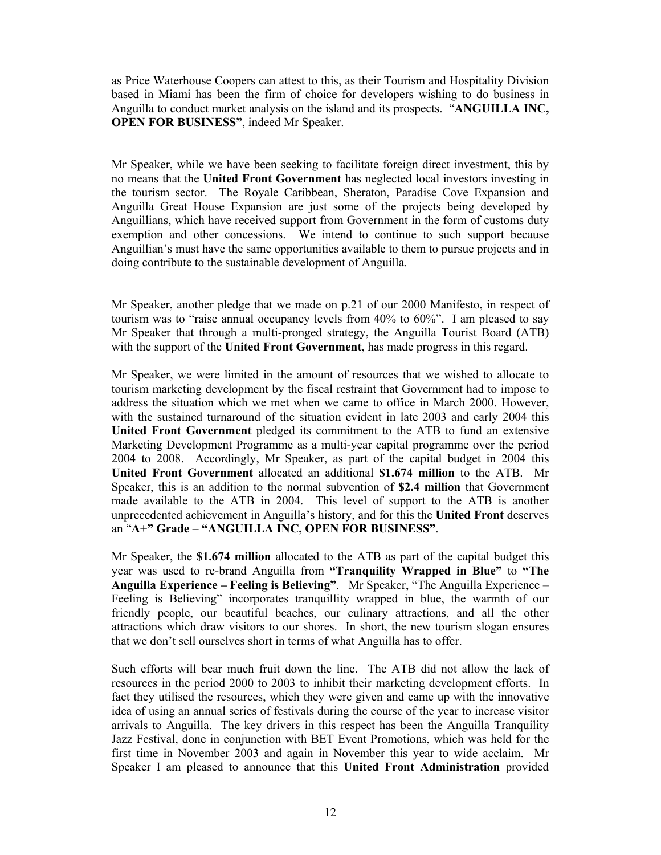as Price Waterhouse Coopers can attest to this, as their Tourism and Hospitality Division based in Miami has been the firm of choice for developers wishing to do business in Anguilla to conduct market analysis on the island and its prospects. "**ANGUILLA INC, OPEN FOR BUSINESS"**, indeed Mr Speaker.

Mr Speaker, while we have been seeking to facilitate foreign direct investment, this by no means that the **United Front Government** has neglected local investors investing in the tourism sector. The Royale Caribbean, Sheraton, Paradise Cove Expansion and Anguilla Great House Expansion are just some of the projects being developed by Anguillians, which have received support from Government in the form of customs duty exemption and other concessions. We intend to continue to such support because Anguillian's must have the same opportunities available to them to pursue projects and in doing contribute to the sustainable development of Anguilla.

Mr Speaker, another pledge that we made on p.21 of our 2000 Manifesto, in respect of tourism was to "raise annual occupancy levels from 40% to 60%". I am pleased to say Mr Speaker that through a multi-pronged strategy, the Anguilla Tourist Board (ATB) with the support of the **United Front Government**, has made progress in this regard.

Mr Speaker, we were limited in the amount of resources that we wished to allocate to tourism marketing development by the fiscal restraint that Government had to impose to address the situation which we met when we came to office in March 2000. However, with the sustained turnaround of the situation evident in late 2003 and early 2004 this **United Front Government** pledged its commitment to the ATB to fund an extensive Marketing Development Programme as a multi-year capital programme over the period 2004 to 2008. Accordingly, Mr Speaker, as part of the capital budget in 2004 this **United Front Government** allocated an additional **\$1.674 million** to the ATB. Mr Speaker, this is an addition to the normal subvention of **\$2.4 million** that Government made available to the ATB in 2004. This level of support to the ATB is another unprecedented achievement in Anguilla's history, and for this the **United Front** deserves an "**A+" Grade – "ANGUILLA INC, OPEN FOR BUSINESS"**.

Mr Speaker, the **\$1.674 million** allocated to the ATB as part of the capital budget this year was used to re-brand Anguilla from **"Tranquility Wrapped in Blue"** to **"The Anguilla Experience – Feeling is Believing"**. Mr Speaker, "The Anguilla Experience – Feeling is Believing" incorporates tranquillity wrapped in blue, the warmth of our friendly people, our beautiful beaches, our culinary attractions, and all the other attractions which draw visitors to our shores. In short, the new tourism slogan ensures that we don't sell ourselves short in terms of what Anguilla has to offer.

Such efforts will bear much fruit down the line. The ATB did not allow the lack of resources in the period 2000 to 2003 to inhibit their marketing development efforts. In fact they utilised the resources, which they were given and came up with the innovative idea of using an annual series of festivals during the course of the year to increase visitor arrivals to Anguilla. The key drivers in this respect has been the Anguilla Tranquility Jazz Festival, done in conjunction with BET Event Promotions, which was held for the first time in November 2003 and again in November this year to wide acclaim. Mr Speaker I am pleased to announce that this **United Front Administration** provided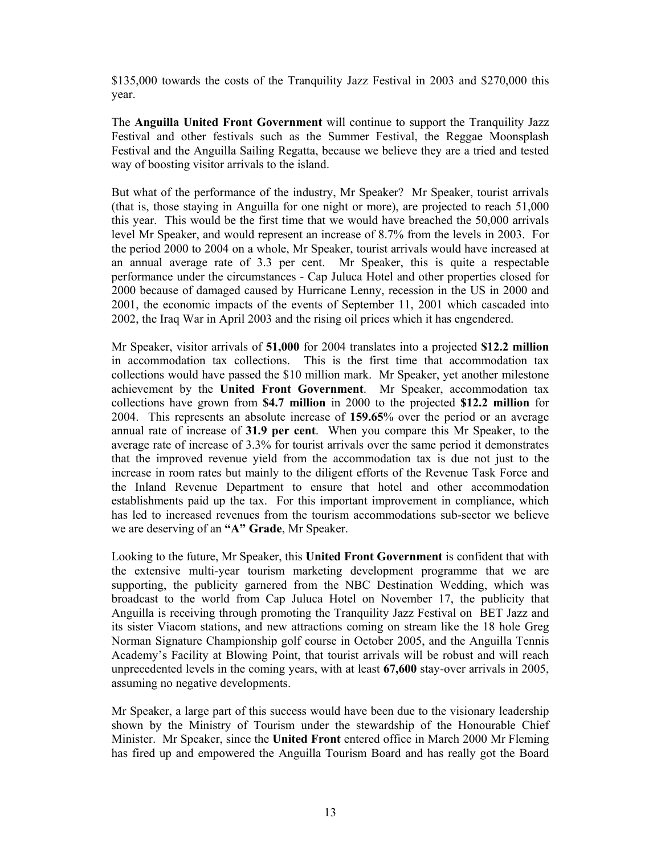\$135,000 towards the costs of the Tranquility Jazz Festival in 2003 and \$270,000 this year.

The **Anguilla United Front Government** will continue to support the Tranquility Jazz Festival and other festivals such as the Summer Festival, the Reggae Moonsplash Festival and the Anguilla Sailing Regatta, because we believe they are a tried and tested way of boosting visitor arrivals to the island.

But what of the performance of the industry, Mr Speaker? Mr Speaker, tourist arrivals (that is, those staying in Anguilla for one night or more), are projected to reach 51,000 this year. This would be the first time that we would have breached the 50,000 arrivals level Mr Speaker, and would represent an increase of 8.7% from the levels in 2003. For the period 2000 to 2004 on a whole, Mr Speaker, tourist arrivals would have increased at an annual average rate of 3.3 per cent. Mr Speaker, this is quite a respectable performance under the circumstances - Cap Juluca Hotel and other properties closed for 2000 because of damaged caused by Hurricane Lenny, recession in the US in 2000 and 2001, the economic impacts of the events of September 11, 2001 which cascaded into 2002, the Iraq War in April 2003 and the rising oil prices which it has engendered.

Mr Speaker, visitor arrivals of **51,000** for 2004 translates into a projected **\$12.2 million** in accommodation tax collections. This is the first time that accommodation tax collections would have passed the \$10 million mark. Mr Speaker, yet another milestone achievement by the **United Front Government**. Mr Speaker, accommodation tax collections have grown from **\$4.7 million** in 2000 to the projected **\$12.2 million** for 2004. This represents an absolute increase of **159.65**% over the period or an average annual rate of increase of **31.9 per cent**. When you compare this Mr Speaker, to the average rate of increase of 3.3% for tourist arrivals over the same period it demonstrates that the improved revenue yield from the accommodation tax is due not just to the increase in room rates but mainly to the diligent efforts of the Revenue Task Force and the Inland Revenue Department to ensure that hotel and other accommodation establishments paid up the tax. For this important improvement in compliance, which has led to increased revenues from the tourism accommodations sub-sector we believe we are deserving of an **"A" Grade**, Mr Speaker.

Looking to the future, Mr Speaker, this **United Front Government** is confident that with the extensive multi-year tourism marketing development programme that we are supporting, the publicity garnered from the NBC Destination Wedding, which was broadcast to the world from Cap Juluca Hotel on November 17, the publicity that Anguilla is receiving through promoting the Tranquility Jazz Festival on BET Jazz and its sister Viacom stations, and new attractions coming on stream like the 18 hole Greg Norman Signature Championship golf course in October 2005, and the Anguilla Tennis Academy's Facility at Blowing Point, that tourist arrivals will be robust and will reach unprecedented levels in the coming years, with at least **67,600** stay-over arrivals in 2005, assuming no negative developments.

Mr Speaker, a large part of this success would have been due to the visionary leadership shown by the Ministry of Tourism under the stewardship of the Honourable Chief Minister. Mr Speaker, since the **United Front** entered office in March 2000 Mr Fleming has fired up and empowered the Anguilla Tourism Board and has really got the Board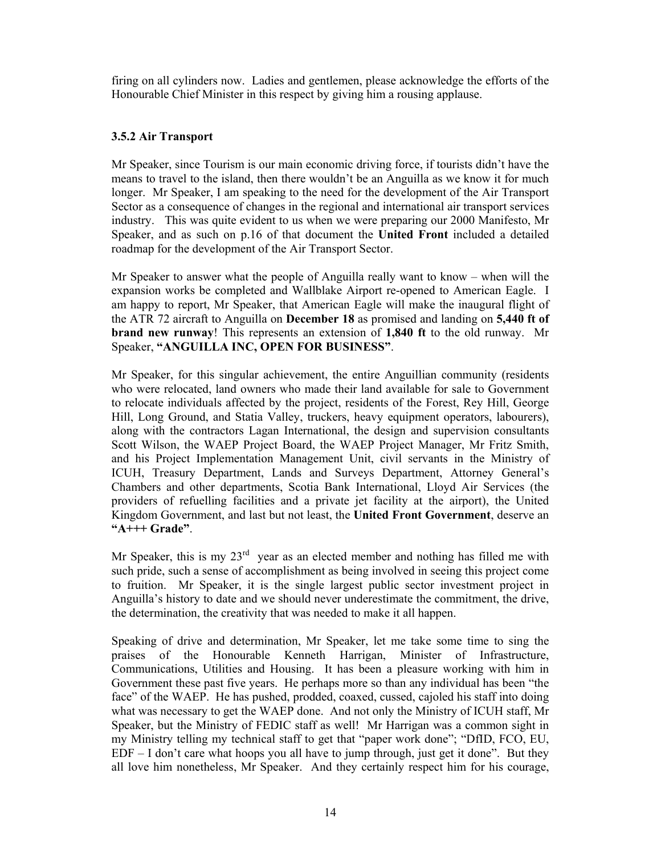firing on all cylinders now. Ladies and gentlemen, please acknowledge the efforts of the Honourable Chief Minister in this respect by giving him a rousing applause.

# **3.5.2 Air Transport**

Mr Speaker, since Tourism is our main economic driving force, if tourists didn't have the means to travel to the island, then there wouldn't be an Anguilla as we know it for much longer. Mr Speaker, I am speaking to the need for the development of the Air Transport Sector as a consequence of changes in the regional and international air transport services industry. This was quite evident to us when we were preparing our 2000 Manifesto, Mr Speaker, and as such on p.16 of that document the **United Front** included a detailed roadmap for the development of the Air Transport Sector.

Mr Speaker to answer what the people of Anguilla really want to know – when will the expansion works be completed and Wallblake Airport re-opened to American Eagle. I am happy to report, Mr Speaker, that American Eagle will make the inaugural flight of the ATR 72 aircraft to Anguilla on **December 18** as promised and landing on **5,440 ft of brand new runway**! This represents an extension of **1,840 ft** to the old runway. Mr Speaker, **"ANGUILLA INC, OPEN FOR BUSINESS"**.

Mr Speaker, for this singular achievement, the entire Anguillian community (residents who were relocated, land owners who made their land available for sale to Government to relocate individuals affected by the project, residents of the Forest, Rey Hill, George Hill, Long Ground, and Statia Valley, truckers, heavy equipment operators, labourers), along with the contractors Lagan International, the design and supervision consultants Scott Wilson, the WAEP Project Board, the WAEP Project Manager, Mr Fritz Smith, and his Project Implementation Management Unit, civil servants in the Ministry of ICUH, Treasury Department, Lands and Surveys Department, Attorney General's Chambers and other departments, Scotia Bank International, Lloyd Air Services (the providers of refuelling facilities and a private jet facility at the airport), the United Kingdom Government, and last but not least, the **United Front Government**, deserve an **"A+++ Grade"**.

Mr Speaker, this is my  $23<sup>rd</sup>$  year as an elected member and nothing has filled me with such pride, such a sense of accomplishment as being involved in seeing this project come to fruition. Mr Speaker, it is the single largest public sector investment project in Anguilla's history to date and we should never underestimate the commitment, the drive, the determination, the creativity that was needed to make it all happen.

Speaking of drive and determination, Mr Speaker, let me take some time to sing the praises of the Honourable Kenneth Harrigan, Minister of Infrastructure, Communications, Utilities and Housing. It has been a pleasure working with him in Government these past five years. He perhaps more so than any individual has been "the face" of the WAEP. He has pushed, prodded, coaxed, cussed, cajoled his staff into doing what was necessary to get the WAEP done. And not only the Ministry of ICUH staff, Mr Speaker, but the Ministry of FEDIC staff as well! Mr Harrigan was a common sight in my Ministry telling my technical staff to get that "paper work done"; "DfID, FCO, EU, EDF – I don't care what hoops you all have to jump through, just get it done". But they all love him nonetheless, Mr Speaker. And they certainly respect him for his courage,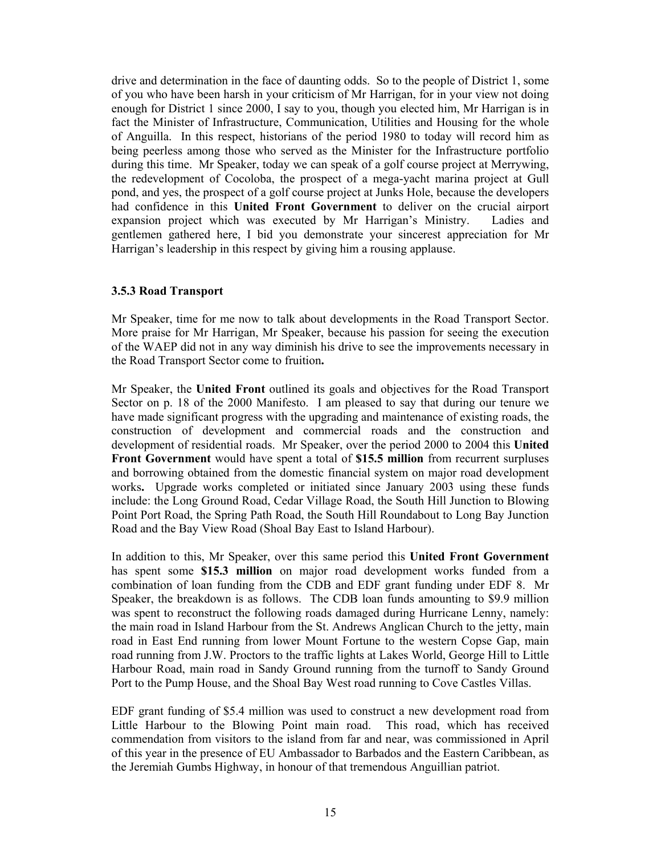drive and determination in the face of daunting odds. So to the people of District 1, some of you who have been harsh in your criticism of Mr Harrigan, for in your view not doing enough for District 1 since 2000, I say to you, though you elected him, Mr Harrigan is in fact the Minister of Infrastructure, Communication, Utilities and Housing for the whole of Anguilla. In this respect, historians of the period 1980 to today will record him as being peerless among those who served as the Minister for the Infrastructure portfolio during this time. Mr Speaker, today we can speak of a golf course project at Merrywing, the redevelopment of Cocoloba, the prospect of a mega-yacht marina project at Gull pond, and yes, the prospect of a golf course project at Junks Hole, because the developers had confidence in this **United Front Government** to deliver on the crucial airport expansion project which was executed by Mr Harrigan's Ministry. Ladies and gentlemen gathered here, I bid you demonstrate your sincerest appreciation for Mr Harrigan's leadership in this respect by giving him a rousing applause.

#### **3.5.3 Road Transport**

Mr Speaker, time for me now to talk about developments in the Road Transport Sector. More praise for Mr Harrigan, Mr Speaker, because his passion for seeing the execution of the WAEP did not in any way diminish his drive to see the improvements necessary in the Road Transport Sector come to fruition**.** 

Mr Speaker, the **United Front** outlined its goals and objectives for the Road Transport Sector on p. 18 of the 2000 Manifesto. I am pleased to say that during our tenure we have made significant progress with the upgrading and maintenance of existing roads, the construction of development and commercial roads and the construction and development of residential roads. Mr Speaker, over the period 2000 to 2004 this **United Front Government** would have spent a total of **\$15.5 million** from recurrent surpluses and borrowing obtained from the domestic financial system on major road development works**.** Upgrade works completed or initiated since January 2003 using these funds include: the Long Ground Road, Cedar Village Road, the South Hill Junction to Blowing Point Port Road, the Spring Path Road, the South Hill Roundabout to Long Bay Junction Road and the Bay View Road (Shoal Bay East to Island Harbour).

In addition to this, Mr Speaker, over this same period this **United Front Government** has spent some **\$15.3 million** on major road development works funded from a combination of loan funding from the CDB and EDF grant funding under EDF 8. Mr Speaker, the breakdown is as follows. The CDB loan funds amounting to \$9.9 million was spent to reconstruct the following roads damaged during Hurricane Lenny, namely: the main road in Island Harbour from the St. Andrews Anglican Church to the jetty, main road in East End running from lower Mount Fortune to the western Copse Gap, main road running from J.W. Proctors to the traffic lights at Lakes World, George Hill to Little Harbour Road, main road in Sandy Ground running from the turnoff to Sandy Ground Port to the Pump House, and the Shoal Bay West road running to Cove Castles Villas.

EDF grant funding of \$5.4 million was used to construct a new development road from Little Harbour to the Blowing Point main road. This road, which has received commendation from visitors to the island from far and near, was commissioned in April of this year in the presence of EU Ambassador to Barbados and the Eastern Caribbean, as the Jeremiah Gumbs Highway, in honour of that tremendous Anguillian patriot.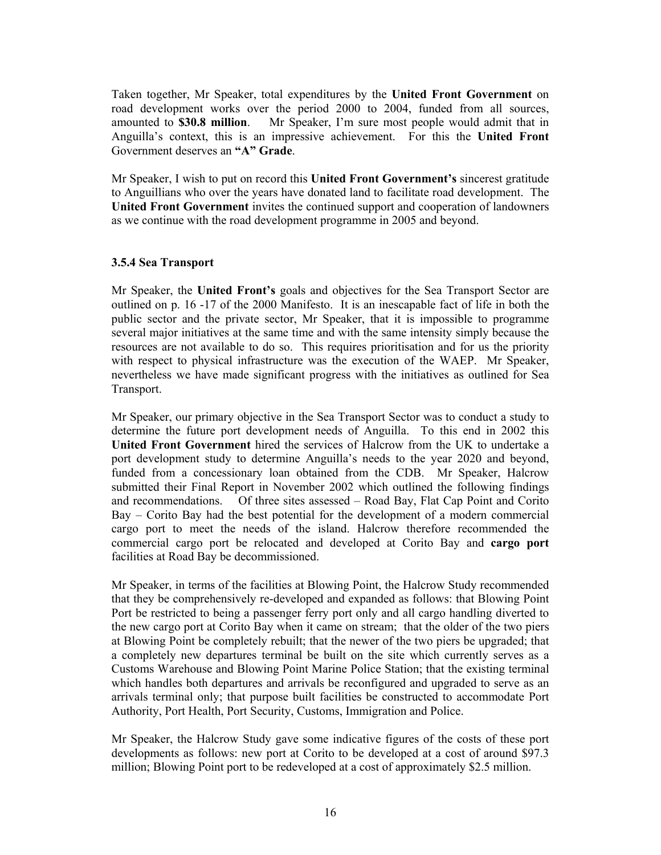Taken together, Mr Speaker, total expenditures by the **United Front Government** on road development works over the period 2000 to 2004, funded from all sources, amounted to **\$30.8 million**. Mr Speaker, I'm sure most people would admit that in Anguilla's context, this is an impressive achievement. For this the **United Front** Government deserves an **"A" Grade**.

Mr Speaker, I wish to put on record this **United Front Government's** sincerest gratitude to Anguillians who over the years have donated land to facilitate road development. The **United Front Government** invites the continued support and cooperation of landowners as we continue with the road development programme in 2005 and beyond.

### **3.5.4 Sea Transport**

Mr Speaker, the **United Front's** goals and objectives for the Sea Transport Sector are outlined on p. 16 -17 of the 2000 Manifesto. It is an inescapable fact of life in both the public sector and the private sector, Mr Speaker, that it is impossible to programme several major initiatives at the same time and with the same intensity simply because the resources are not available to do so. This requires prioritisation and for us the priority with respect to physical infrastructure was the execution of the WAEP. Mr Speaker, nevertheless we have made significant progress with the initiatives as outlined for Sea Transport.

Mr Speaker, our primary objective in the Sea Transport Sector was to conduct a study to determine the future port development needs of Anguilla. To this end in 2002 this **United Front Government** hired the services of Halcrow from the UK to undertake a port development study to determine Anguilla's needs to the year 2020 and beyond, funded from a concessionary loan obtained from the CDB. Mr Speaker, Halcrow submitted their Final Report in November 2002 which outlined the following findings and recommendations. Of three sites assessed – Road Bay, Flat Cap Point and Corito Bay – Corito Bay had the best potential for the development of a modern commercial cargo port to meet the needs of the island. Halcrow therefore recommended the commercial cargo port be relocated and developed at Corito Bay and **cargo port** facilities at Road Bay be decommissioned.

Mr Speaker, in terms of the facilities at Blowing Point, the Halcrow Study recommended that they be comprehensively re-developed and expanded as follows: that Blowing Point Port be restricted to being a passenger ferry port only and all cargo handling diverted to the new cargo port at Corito Bay when it came on stream; that the older of the two piers at Blowing Point be completely rebuilt; that the newer of the two piers be upgraded; that a completely new departures terminal be built on the site which currently serves as a Customs Warehouse and Blowing Point Marine Police Station; that the existing terminal which handles both departures and arrivals be reconfigured and upgraded to serve as an arrivals terminal only; that purpose built facilities be constructed to accommodate Port Authority, Port Health, Port Security, Customs, Immigration and Police.

Mr Speaker, the Halcrow Study gave some indicative figures of the costs of these port developments as follows: new port at Corito to be developed at a cost of around \$97.3 million; Blowing Point port to be redeveloped at a cost of approximately \$2.5 million.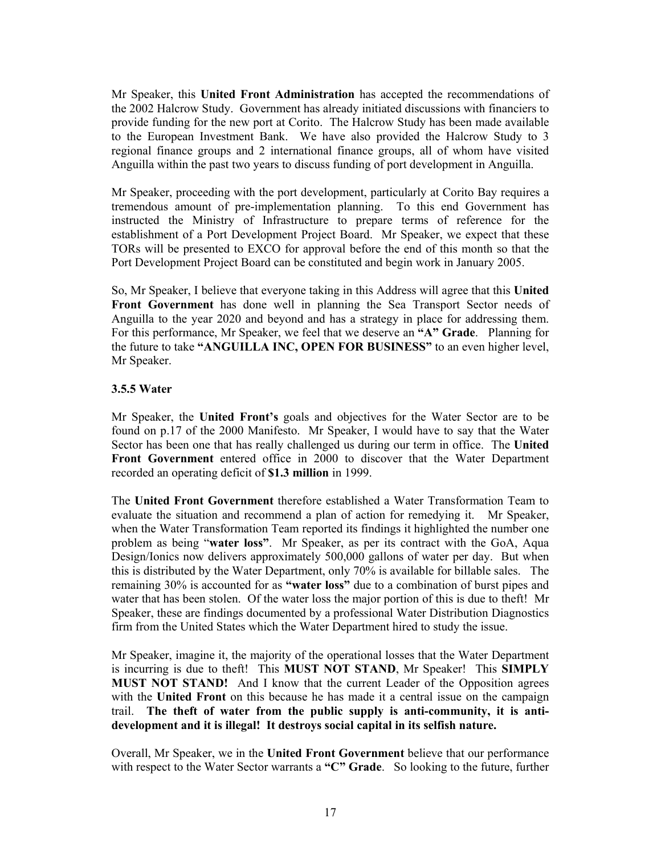Mr Speaker, this **United Front Administration** has accepted the recommendations of the 2002 Halcrow Study. Government has already initiated discussions with financiers to provide funding for the new port at Corito. The Halcrow Study has been made available to the European Investment Bank. We have also provided the Halcrow Study to 3 regional finance groups and 2 international finance groups, all of whom have visited Anguilla within the past two years to discuss funding of port development in Anguilla.

Mr Speaker, proceeding with the port development, particularly at Corito Bay requires a tremendous amount of pre-implementation planning. To this end Government has instructed the Ministry of Infrastructure to prepare terms of reference for the establishment of a Port Development Project Board. Mr Speaker, we expect that these TORs will be presented to EXCO for approval before the end of this month so that the Port Development Project Board can be constituted and begin work in January 2005.

So, Mr Speaker, I believe that everyone taking in this Address will agree that this **United Front Government** has done well in planning the Sea Transport Sector needs of Anguilla to the year 2020 and beyond and has a strategy in place for addressing them. For this performance, Mr Speaker, we feel that we deserve an **"A" Grade**. Planning for the future to take **"ANGUILLA INC, OPEN FOR BUSINESS"** to an even higher level, Mr Speaker.

### **3.5.5 Water**

Mr Speaker, the **United Front's** goals and objectives for the Water Sector are to be found on p.17 of the 2000 Manifesto. Mr Speaker, I would have to say that the Water Sector has been one that has really challenged us during our term in office. The **United Front Government** entered office in 2000 to discover that the Water Department recorded an operating deficit of **\$1.3 million** in 1999.

The **United Front Government** therefore established a Water Transformation Team to evaluate the situation and recommend a plan of action for remedying it. Mr Speaker, when the Water Transformation Team reported its findings it highlighted the number one problem as being "**water loss"**. Mr Speaker, as per its contract with the GoA, Aqua Design/Ionics now delivers approximately 500,000 gallons of water per day. But when this is distributed by the Water Department, only 70% is available for billable sales. The remaining 30% is accounted for as **"water loss"** due to a combination of burst pipes and water that has been stolen. Of the water loss the major portion of this is due to theft! Mr Speaker, these are findings documented by a professional Water Distribution Diagnostics firm from the United States which the Water Department hired to study the issue.

Mr Speaker, imagine it, the majority of the operational losses that the Water Department is incurring is due to theft! This **MUST NOT STAND**, Mr Speaker! This **SIMPLY MUST NOT STAND!** And I know that the current Leader of the Opposition agrees with the **United Front** on this because he has made it a central issue on the campaign trail. **The theft of water from the public supply is anti-community, it is antidevelopment and it is illegal! It destroys social capital in its selfish nature.** 

Overall, Mr Speaker, we in the **United Front Government** believe that our performance with respect to the Water Sector warrants a **"C" Grade**. So looking to the future, further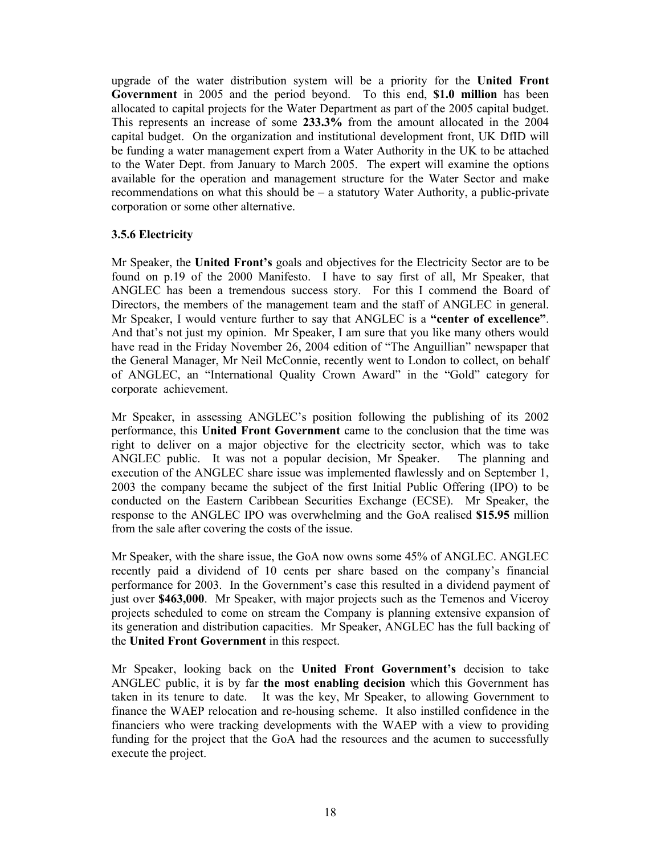upgrade of the water distribution system will be a priority for the **United Front Government** in 2005 and the period beyond. To this end, **\$1.0 million** has been allocated to capital projects for the Water Department as part of the 2005 capital budget. This represents an increase of some **233.3%** from the amount allocated in the 2004 capital budget. On the organization and institutional development front, UK DfID will be funding a water management expert from a Water Authority in the UK to be attached to the Water Dept. from January to March 2005. The expert will examine the options available for the operation and management structure for the Water Sector and make recommendations on what this should be – a statutory Water Authority, a public-private corporation or some other alternative.

### **3.5.6 Electricity**

Mr Speaker, the **United Front's** goals and objectives for the Electricity Sector are to be found on p.19 of the 2000 Manifesto. I have to say first of all, Mr Speaker, that ANGLEC has been a tremendous success story. For this I commend the Board of Directors, the members of the management team and the staff of ANGLEC in general. Mr Speaker, I would venture further to say that ANGLEC is a **"center of excellence"**. And that's not just my opinion. Mr Speaker, I am sure that you like many others would have read in the Friday November 26, 2004 edition of "The Anguillian" newspaper that the General Manager, Mr Neil McConnie, recently went to London to collect, on behalf of ANGLEC, an "International Quality Crown Award" in the "Gold" category for corporate achievement.

Mr Speaker, in assessing ANGLEC's position following the publishing of its 2002 performance, this **United Front Government** came to the conclusion that the time was right to deliver on a major objective for the electricity sector, which was to take ANGLEC public. It was not a popular decision, Mr Speaker. The planning and execution of the ANGLEC share issue was implemented flawlessly and on September 1, 2003 the company became the subject of the first Initial Public Offering (IPO) to be conducted on the Eastern Caribbean Securities Exchange (ECSE). Mr Speaker, the response to the ANGLEC IPO was overwhelming and the GoA realised **\$15.95** million from the sale after covering the costs of the issue.

Mr Speaker, with the share issue, the GoA now owns some 45% of ANGLEC. ANGLEC recently paid a dividend of 10 cents per share based on the company's financial performance for 2003. In the Government's case this resulted in a dividend payment of just over **\$463,000**. Mr Speaker, with major projects such as the Temenos and Viceroy projects scheduled to come on stream the Company is planning extensive expansion of its generation and distribution capacities. Mr Speaker, ANGLEC has the full backing of the **United Front Government** in this respect.

Mr Speaker, looking back on the **United Front Government's** decision to take ANGLEC public, it is by far **the most enabling decision** which this Government has taken in its tenure to date. It was the key, Mr Speaker, to allowing Government to finance the WAEP relocation and re-housing scheme. It also instilled confidence in the financiers who were tracking developments with the WAEP with a view to providing funding for the project that the GoA had the resources and the acumen to successfully execute the project.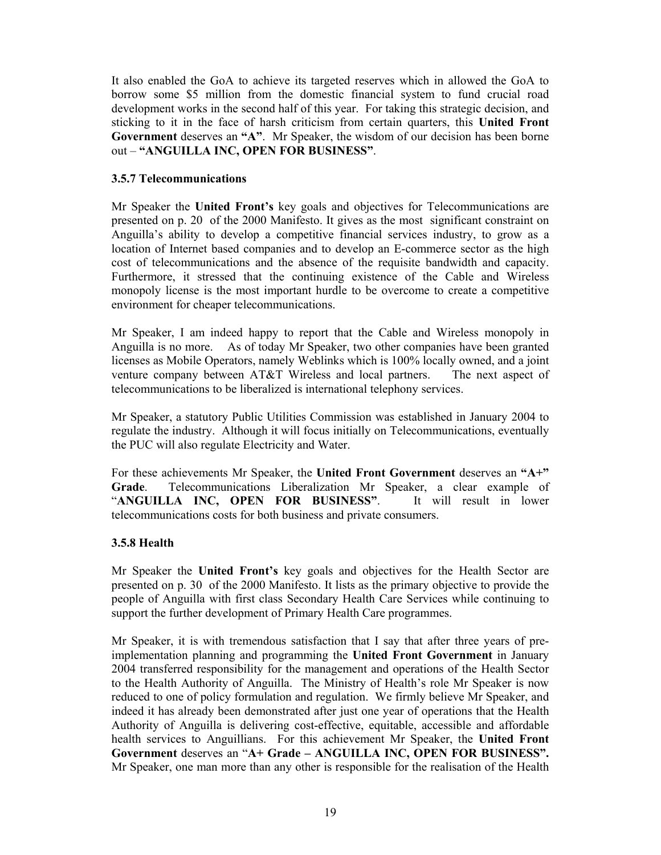It also enabled the GoA to achieve its targeted reserves which in allowed the GoA to borrow some \$5 million from the domestic financial system to fund crucial road development works in the second half of this year. For taking this strategic decision, and sticking to it in the face of harsh criticism from certain quarters, this **United Front Government** deserves an **"A"**. Mr Speaker, the wisdom of our decision has been borne out – **"ANGUILLA INC, OPEN FOR BUSINESS"**.

### **3.5.7 Telecommunications**

Mr Speaker the **United Front's** key goals and objectives for Telecommunications are presented on p. 20 of the 2000 Manifesto. It gives as the most significant constraint on Anguilla's ability to develop a competitive financial services industry, to grow as a location of Internet based companies and to develop an E-commerce sector as the high cost of telecommunications and the absence of the requisite bandwidth and capacity. Furthermore, it stressed that the continuing existence of the Cable and Wireless monopoly license is the most important hurdle to be overcome to create a competitive environment for cheaper telecommunications.

Mr Speaker, I am indeed happy to report that the Cable and Wireless monopoly in Anguilla is no more. As of today Mr Speaker, two other companies have been granted licenses as Mobile Operators, namely Weblinks which is 100% locally owned, and a joint venture company between AT&T Wireless and local partners. The next aspect of telecommunications to be liberalized is international telephony services.

Mr Speaker, a statutory Public Utilities Commission was established in January 2004 to regulate the industry. Although it will focus initially on Telecommunications, eventually the PUC will also regulate Electricity and Water.

For these achievements Mr Speaker, the **United Front Government** deserves an **"A+" Grade**. Telecommunications Liberalization Mr Speaker, a clear example of "**ANGUILLA INC, OPEN FOR BUSINESS"**. It will result in lower telecommunications costs for both business and private consumers.

### **3.5.8 Health**

Mr Speaker the **United Front's** key goals and objectives for the Health Sector are presented on p. 30 of the 2000 Manifesto. It lists as the primary objective to provide the people of Anguilla with first class Secondary Health Care Services while continuing to support the further development of Primary Health Care programmes.

Mr Speaker, it is with tremendous satisfaction that I say that after three years of preimplementation planning and programming the **United Front Government** in January 2004 transferred responsibility for the management and operations of the Health Sector to the Health Authority of Anguilla. The Ministry of Health's role Mr Speaker is now reduced to one of policy formulation and regulation. We firmly believe Mr Speaker, and indeed it has already been demonstrated after just one year of operations that the Health Authority of Anguilla is delivering cost-effective, equitable, accessible and affordable health services to Anguillians. For this achievement Mr Speaker, the **United Front Government** deserves an "**A+ Grade – ANGUILLA INC, OPEN FOR BUSINESS".**  Mr Speaker, one man more than any other is responsible for the realisation of the Health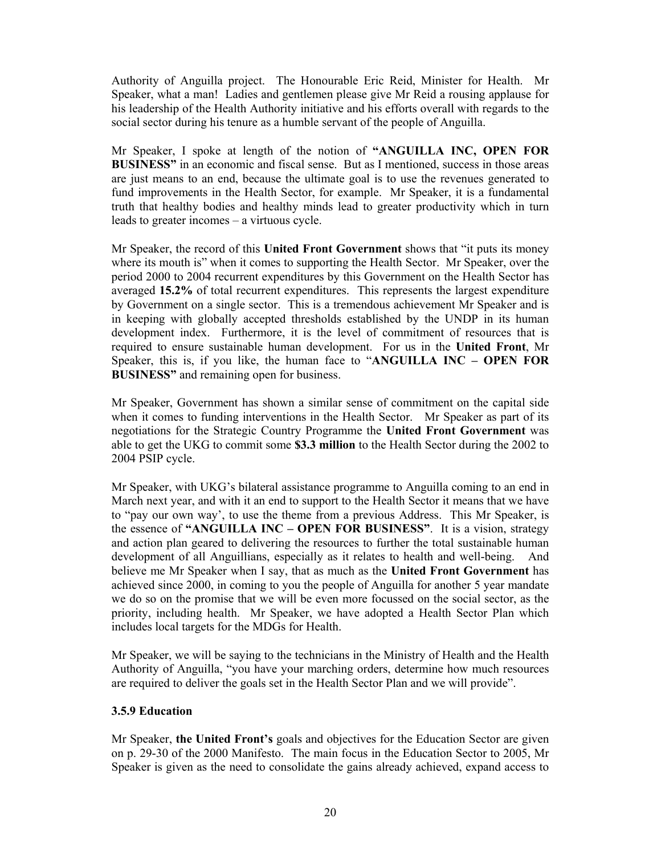Authority of Anguilla project. The Honourable Eric Reid, Minister for Health.Mr Speaker, what a man! Ladies and gentlemen please give Mr Reid a rousing applause for his leadership of the Health Authority initiative and his efforts overall with regards to the social sector during his tenure as a humble servant of the people of Anguilla.

Mr Speaker, I spoke at length of the notion of **"ANGUILLA INC, OPEN FOR BUSINESS**" in an economic and fiscal sense. But as I mentioned, success in those areas are just means to an end, because the ultimate goal is to use the revenues generated to fund improvements in the Health Sector, for example. Mr Speaker, it is a fundamental truth that healthy bodies and healthy minds lead to greater productivity which in turn leads to greater incomes – a virtuous cycle.

Mr Speaker, the record of this **United Front Government** shows that "it puts its money where its mouth is" when it comes to supporting the Health Sector. Mr Speaker, over the period 2000 to 2004 recurrent expenditures by this Government on the Health Sector has averaged **15.2%** of total recurrent expenditures. This represents the largest expenditure by Government on a single sector. This is a tremendous achievement Mr Speaker and is in keeping with globally accepted thresholds established by the UNDP in its human development index. Furthermore, it is the level of commitment of resources that is required to ensure sustainable human development. For us in the **United Front**, Mr Speaker, this is, if you like, the human face to "**ANGUILLA INC – OPEN FOR BUSINESS"** and remaining open for business.

Mr Speaker, Government has shown a similar sense of commitment on the capital side when it comes to funding interventions in the Health Sector. Mr Speaker as part of its negotiations for the Strategic Country Programme the **United Front Government** was able to get the UKG to commit some **\$3.3 million** to the Health Sector during the 2002 to 2004 PSIP cycle.

Mr Speaker, with UKG's bilateral assistance programme to Anguilla coming to an end in March next year, and with it an end to support to the Health Sector it means that we have to "pay our own way', to use the theme from a previous Address. This Mr Speaker, is the essence of **"ANGUILLA INC – OPEN FOR BUSINESS"**. It is a vision, strategy and action plan geared to delivering the resources to further the total sustainable human development of all Anguillians, especially as it relates to health and well-being. And believe me Mr Speaker when I say, that as much as the **United Front Government** has achieved since 2000, in coming to you the people of Anguilla for another 5 year mandate we do so on the promise that we will be even more focussed on the social sector, as the priority, including health. Mr Speaker, we have adopted a Health Sector Plan which includes local targets for the MDGs for Health.

Mr Speaker, we will be saying to the technicians in the Ministry of Health and the Health Authority of Anguilla, "you have your marching orders, determine how much resources are required to deliver the goals set in the Health Sector Plan and we will provide".

### **3.5.9 Education**

Mr Speaker, **the United Front's** goals and objectives for the Education Sector are given on p. 29-30 of the 2000 Manifesto. The main focus in the Education Sector to 2005, Mr Speaker is given as the need to consolidate the gains already achieved, expand access to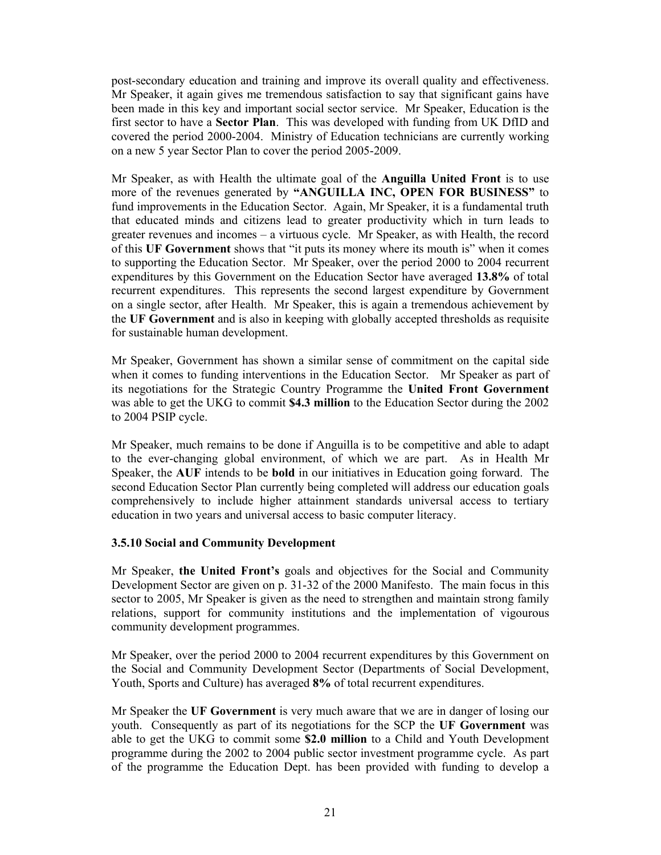post-secondary education and training and improve its overall quality and effectiveness. Mr Speaker, it again gives me tremendous satisfaction to say that significant gains have been made in this key and important social sector service. Mr Speaker, Education is the first sector to have a **Sector Plan**. This was developed with funding from UK DfID and covered the period 2000-2004. Ministry of Education technicians are currently working on a new 5 year Sector Plan to cover the period 2005-2009.

Mr Speaker, as with Health the ultimate goal of the **Anguilla United Front** is to use more of the revenues generated by **"ANGUILLA INC, OPEN FOR BUSINESS"** to fund improvements in the Education Sector. Again, Mr Speaker, it is a fundamental truth that educated minds and citizens lead to greater productivity which in turn leads to greater revenues and incomes – a virtuous cycle. Mr Speaker, as with Health, the record of this **UF Government** shows that "it puts its money where its mouth is" when it comes to supporting the Education Sector. Mr Speaker, over the period 2000 to 2004 recurrent expenditures by this Government on the Education Sector have averaged **13.8%** of total recurrent expenditures. This represents the second largest expenditure by Government on a single sector, after Health. Mr Speaker, this is again a tremendous achievement by the **UF Government** and is also in keeping with globally accepted thresholds as requisite for sustainable human development.

Mr Speaker, Government has shown a similar sense of commitment on the capital side when it comes to funding interventions in the Education Sector. Mr Speaker as part of its negotiations for the Strategic Country Programme the **United Front Government** was able to get the UKG to commit **\$4.3 million** to the Education Sector during the 2002 to 2004 PSIP cycle.

Mr Speaker, much remains to be done if Anguilla is to be competitive and able to adapt to the ever-changing global environment, of which we are part. As in Health Mr Speaker, the **AUF** intends to be **bold** in our initiatives in Education going forward. The second Education Sector Plan currently being completed will address our education goals comprehensively to include higher attainment standards universal access to tertiary education in two years and universal access to basic computer literacy.

#### **3.5.10 Social and Community Development**

Mr Speaker, **the United Front's** goals and objectives for the Social and Community Development Sector are given on p. 31-32 of the 2000 Manifesto. The main focus in this sector to 2005, Mr Speaker is given as the need to strengthen and maintain strong family relations, support for community institutions and the implementation of vigourous community development programmes.

Mr Speaker, over the period 2000 to 2004 recurrent expenditures by this Government on the Social and Community Development Sector (Departments of Social Development, Youth, Sports and Culture) has averaged **8%** of total recurrent expenditures.

Mr Speaker the **UF Government** is very much aware that we are in danger of losing our youth. Consequently as part of its negotiations for the SCP the **UF Government** was able to get the UKG to commit some **\$2.0 million** to a Child and Youth Development programme during the 2002 to 2004 public sector investment programme cycle. As part of the programme the Education Dept. has been provided with funding to develop a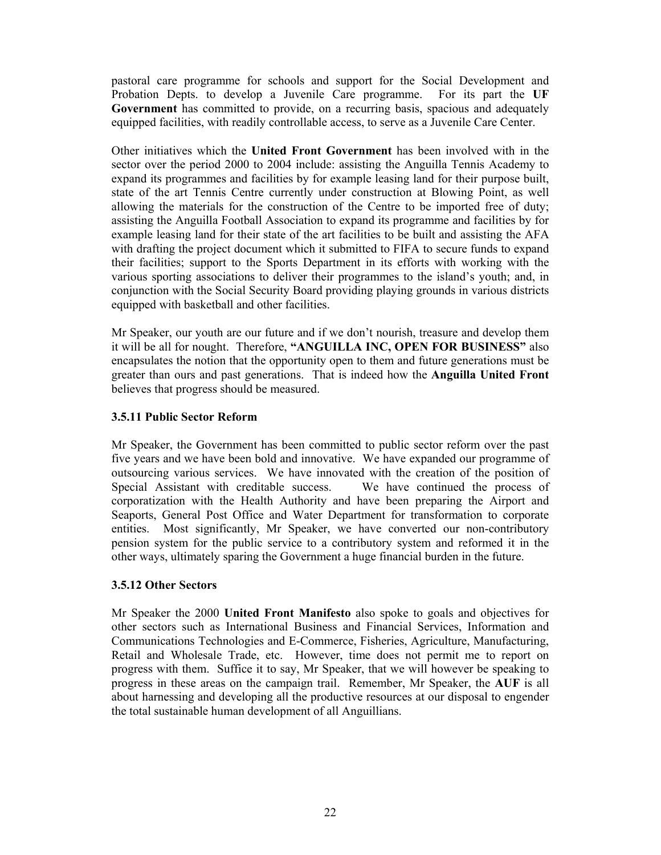pastoral care programme for schools and support for the Social Development and Probation Depts. to develop a Juvenile Care programme. For its part the **UF Government** has committed to provide, on a recurring basis, spacious and adequately equipped facilities, with readily controllable access, to serve as a Juvenile Care Center.

Other initiatives which the **United Front Government** has been involved with in the sector over the period 2000 to 2004 include: assisting the Anguilla Tennis Academy to expand its programmes and facilities by for example leasing land for their purpose built, state of the art Tennis Centre currently under construction at Blowing Point, as well allowing the materials for the construction of the Centre to be imported free of duty; assisting the Anguilla Football Association to expand its programme and facilities by for example leasing land for their state of the art facilities to be built and assisting the AFA with drafting the project document which it submitted to FIFA to secure funds to expand their facilities; support to the Sports Department in its efforts with working with the various sporting associations to deliver their programmes to the island's youth; and, in conjunction with the Social Security Board providing playing grounds in various districts equipped with basketball and other facilities.

Mr Speaker, our youth are our future and if we don't nourish, treasure and develop them it will be all for nought. Therefore, **"ANGUILLA INC, OPEN FOR BUSINESS"** also encapsulates the notion that the opportunity open to them and future generations must be greater than ours and past generations. That is indeed how the **Anguilla United Front** believes that progress should be measured.

### **3.5.11 Public Sector Reform**

Mr Speaker, the Government has been committed to public sector reform over the past five years and we have been bold and innovative. We have expanded our programme of outsourcing various services. We have innovated with the creation of the position of Special Assistant with creditable success. We have continued the process of corporatization with the Health Authority and have been preparing the Airport and Seaports, General Post Office and Water Department for transformation to corporate entities. Most significantly, Mr Speaker, we have converted our non-contributory pension system for the public service to a contributory system and reformed it in the other ways, ultimately sparing the Government a huge financial burden in the future.

### **3.5.12 Other Sectors**

Mr Speaker the 2000 **United Front Manifesto** also spoke to goals and objectives for other sectors such as International Business and Financial Services, Information and Communications Technologies and E-Commerce, Fisheries, Agriculture, Manufacturing, Retail and Wholesale Trade, etc. However, time does not permit me to report on progress with them. Suffice it to say, Mr Speaker, that we will however be speaking to progress in these areas on the campaign trail. Remember, Mr Speaker, the **AUF** is all about harnessing and developing all the productive resources at our disposal to engender the total sustainable human development of all Anguillians.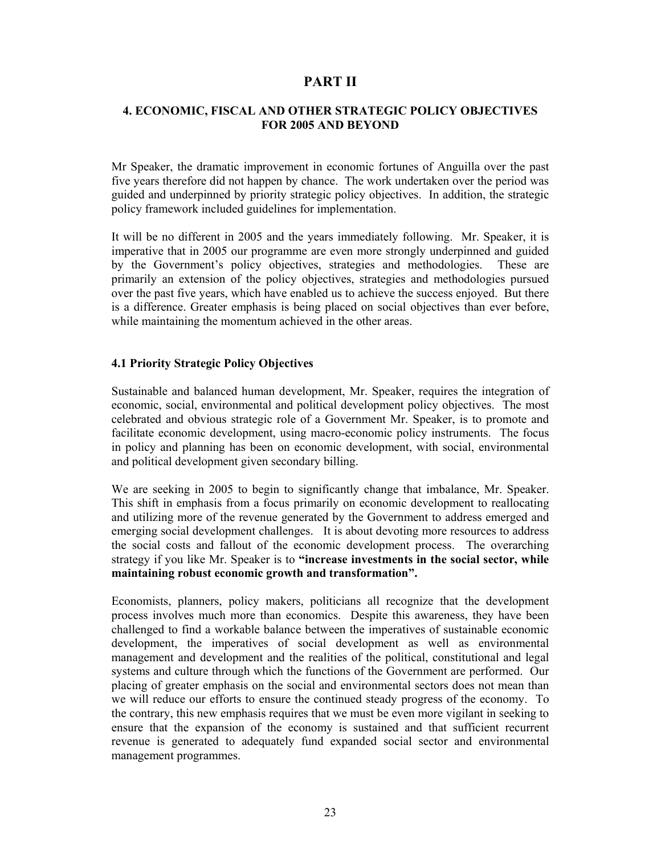# **PART II**

#### **4. ECONOMIC, FISCAL AND OTHER STRATEGIC POLICY OBJECTIVES FOR 2005 AND BEYOND**

Mr Speaker, the dramatic improvement in economic fortunes of Anguilla over the past five years therefore did not happen by chance. The work undertaken over the period was guided and underpinned by priority strategic policy objectives. In addition, the strategic policy framework included guidelines for implementation.

It will be no different in 2005 and the years immediately following. Mr. Speaker, it is imperative that in 2005 our programme are even more strongly underpinned and guided by the Government's policy objectives, strategies and methodologies. These are primarily an extension of the policy objectives, strategies and methodologies pursued over the past five years, which have enabled us to achieve the success enjoyed. But there is a difference. Greater emphasis is being placed on social objectives than ever before, while maintaining the momentum achieved in the other areas.

#### **4.1 Priority Strategic Policy Objectives**

Sustainable and balanced human development, Mr. Speaker, requires the integration of economic, social, environmental and political development policy objectives. The most celebrated and obvious strategic role of a Government Mr. Speaker, is to promote and facilitate economic development, using macro-economic policy instruments. The focus in policy and planning has been on economic development, with social, environmental and political development given secondary billing.

We are seeking in 2005 to begin to significantly change that imbalance, Mr. Speaker. This shift in emphasis from a focus primarily on economic development to reallocating and utilizing more of the revenue generated by the Government to address emerged and emerging social development challenges. It is about devoting more resources to address the social costs and fallout of the economic development process. The overarching strategy if you like Mr. Speaker is to **"increase investments in the social sector, while maintaining robust economic growth and transformation".**

Economists, planners, policy makers, politicians all recognize that the development process involves much more than economics. Despite this awareness, they have been challenged to find a workable balance between the imperatives of sustainable economic development, the imperatives of social development as well as environmental management and development and the realities of the political, constitutional and legal systems and culture through which the functions of the Government are performed. Our placing of greater emphasis on the social and environmental sectors does not mean than we will reduce our efforts to ensure the continued steady progress of the economy. To the contrary, this new emphasis requires that we must be even more vigilant in seeking to ensure that the expansion of the economy is sustained and that sufficient recurrent revenue is generated to adequately fund expanded social sector and environmental management programmes.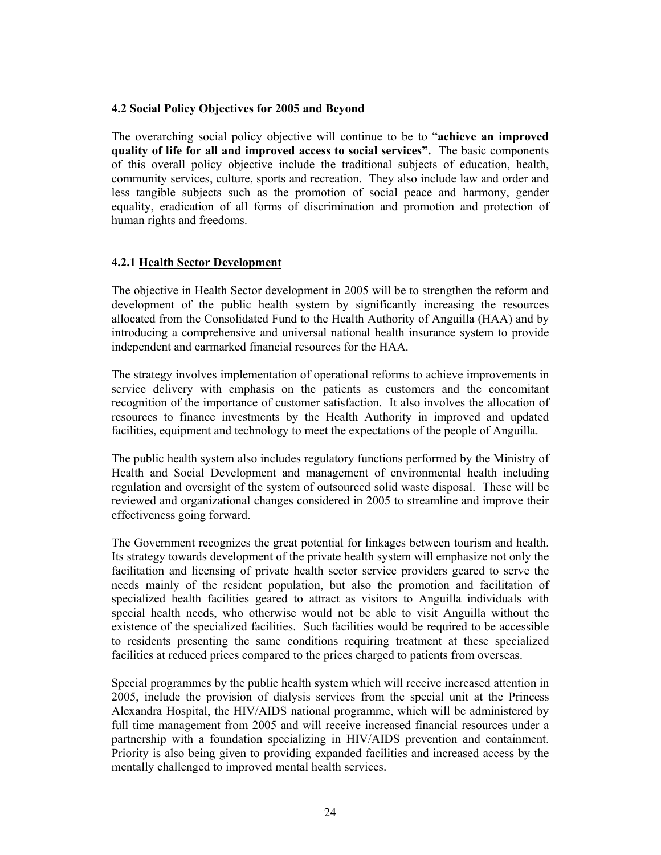#### **4.2 Social Policy Objectives for 2005 and Beyond**

The overarching social policy objective will continue to be to "**achieve an improved quality of life for all and improved access to social services".** The basic components of this overall policy objective include the traditional subjects of education, health, community services, culture, sports and recreation. They also include law and order and less tangible subjects such as the promotion of social peace and harmony, gender equality, eradication of all forms of discrimination and promotion and protection of human rights and freedoms.

### **4.2.1 Health Sector Development**

The objective in Health Sector development in 2005 will be to strengthen the reform and development of the public health system by significantly increasing the resources allocated from the Consolidated Fund to the Health Authority of Anguilla (HAA) and by introducing a comprehensive and universal national health insurance system to provide independent and earmarked financial resources for the HAA.

The strategy involves implementation of operational reforms to achieve improvements in service delivery with emphasis on the patients as customers and the concomitant recognition of the importance of customer satisfaction. It also involves the allocation of resources to finance investments by the Health Authority in improved and updated facilities, equipment and technology to meet the expectations of the people of Anguilla.

The public health system also includes regulatory functions performed by the Ministry of Health and Social Development and management of environmental health including regulation and oversight of the system of outsourced solid waste disposal. These will be reviewed and organizational changes considered in 2005 to streamline and improve their effectiveness going forward.

The Government recognizes the great potential for linkages between tourism and health. Its strategy towards development of the private health system will emphasize not only the facilitation and licensing of private health sector service providers geared to serve the needs mainly of the resident population, but also the promotion and facilitation of specialized health facilities geared to attract as visitors to Anguilla individuals with special health needs, who otherwise would not be able to visit Anguilla without the existence of the specialized facilities. Such facilities would be required to be accessible to residents presenting the same conditions requiring treatment at these specialized facilities at reduced prices compared to the prices charged to patients from overseas.

Special programmes by the public health system which will receive increased attention in 2005, include the provision of dialysis services from the special unit at the Princess Alexandra Hospital, the HIV/AIDS national programme, which will be administered by full time management from 2005 and will receive increased financial resources under a partnership with a foundation specializing in HIV/AIDS prevention and containment. Priority is also being given to providing expanded facilities and increased access by the mentally challenged to improved mental health services.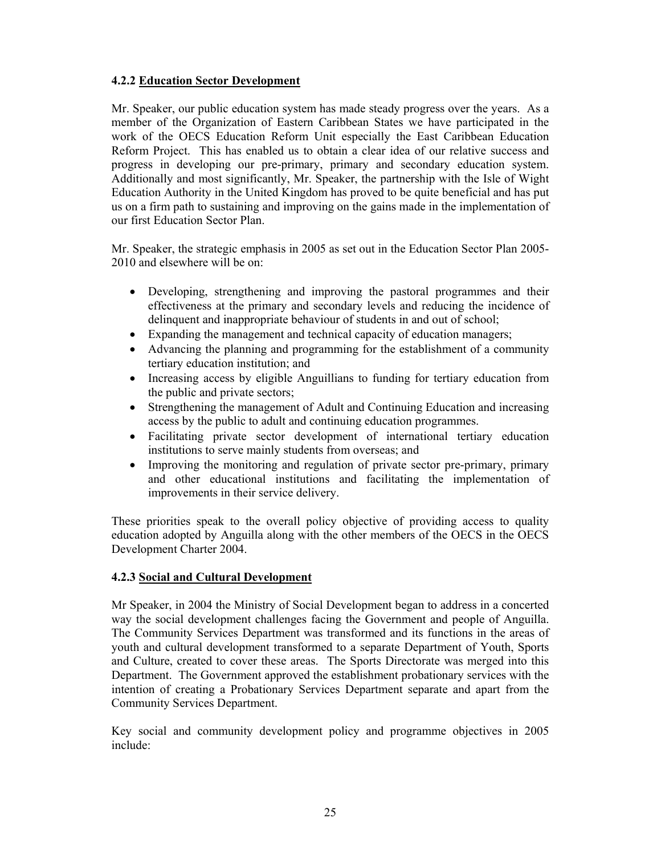### **4.2.2 Education Sector Development**

Mr. Speaker, our public education system has made steady progress over the years. As a member of the Organization of Eastern Caribbean States we have participated in the work of the OECS Education Reform Unit especially the East Caribbean Education Reform Project. This has enabled us to obtain a clear idea of our relative success and progress in developing our pre-primary, primary and secondary education system. Additionally and most significantly, Mr. Speaker, the partnership with the Isle of Wight Education Authority in the United Kingdom has proved to be quite beneficial and has put us on a firm path to sustaining and improving on the gains made in the implementation of our first Education Sector Plan.

Mr. Speaker, the strategic emphasis in 2005 as set out in the Education Sector Plan 2005- 2010 and elsewhere will be on:

- Developing, strengthening and improving the pastoral programmes and their effectiveness at the primary and secondary levels and reducing the incidence of delinquent and inappropriate behaviour of students in and out of school;
- Expanding the management and technical capacity of education managers;
- Advancing the planning and programming for the establishment of a community tertiary education institution; and
- Increasing access by eligible Anguillians to funding for tertiary education from the public and private sectors;
- Strengthening the management of Adult and Continuing Education and increasing access by the public to adult and continuing education programmes.
- Facilitating private sector development of international tertiary education institutions to serve mainly students from overseas; and
- Improving the monitoring and regulation of private sector pre-primary, primary and other educational institutions and facilitating the implementation of improvements in their service delivery.

These priorities speak to the overall policy objective of providing access to quality education adopted by Anguilla along with the other members of the OECS in the OECS Development Charter 2004.

#### **4.2.3 Social and Cultural Development**

Mr Speaker, in 2004 the Ministry of Social Development began to address in a concerted way the social development challenges facing the Government and people of Anguilla. The Community Services Department was transformed and its functions in the areas of youth and cultural development transformed to a separate Department of Youth, Sports and Culture, created to cover these areas. The Sports Directorate was merged into this Department. The Government approved the establishment probationary services with the intention of creating a Probationary Services Department separate and apart from the Community Services Department.

Key social and community development policy and programme objectives in 2005 include: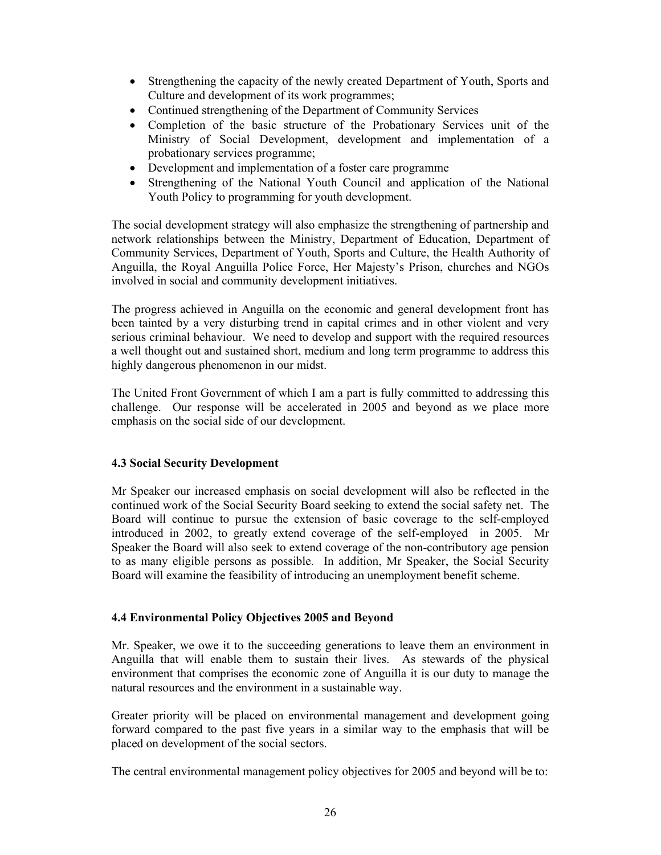- Strengthening the capacity of the newly created Department of Youth, Sports and Culture and development of its work programmes;
- Continued strengthening of the Department of Community Services
- Completion of the basic structure of the Probationary Services unit of the Ministry of Social Development, development and implementation of a probationary services programme;
- Development and implementation of a foster care programme
- Strengthening of the National Youth Council and application of the National Youth Policy to programming for youth development.

The social development strategy will also emphasize the strengthening of partnership and network relationships between the Ministry, Department of Education, Department of Community Services, Department of Youth, Sports and Culture, the Health Authority of Anguilla, the Royal Anguilla Police Force, Her Majesty's Prison, churches and NGOs involved in social and community development initiatives.

The progress achieved in Anguilla on the economic and general development front has been tainted by a very disturbing trend in capital crimes and in other violent and very serious criminal behaviour. We need to develop and support with the required resources a well thought out and sustained short, medium and long term programme to address this highly dangerous phenomenon in our midst.

The United Front Government of which I am a part is fully committed to addressing this challenge. Our response will be accelerated in 2005 and beyond as we place more emphasis on the social side of our development.

### **4.3 Social Security Development**

Mr Speaker our increased emphasis on social development will also be reflected in the continued work of the Social Security Board seeking to extend the social safety net. The Board will continue to pursue the extension of basic coverage to the self-employed introduced in 2002, to greatly extend coverage of the self-employed in 2005. Mr Speaker the Board will also seek to extend coverage of the non-contributory age pension to as many eligible persons as possible. In addition, Mr Speaker, the Social Security Board will examine the feasibility of introducing an unemployment benefit scheme.

### **4.4 Environmental Policy Objectives 2005 and Beyond**

Mr. Speaker, we owe it to the succeeding generations to leave them an environment in Anguilla that will enable them to sustain their lives. As stewards of the physical environment that comprises the economic zone of Anguilla it is our duty to manage the natural resources and the environment in a sustainable way.

Greater priority will be placed on environmental management and development going forward compared to the past five years in a similar way to the emphasis that will be placed on development of the social sectors.

The central environmental management policy objectives for 2005 and beyond will be to: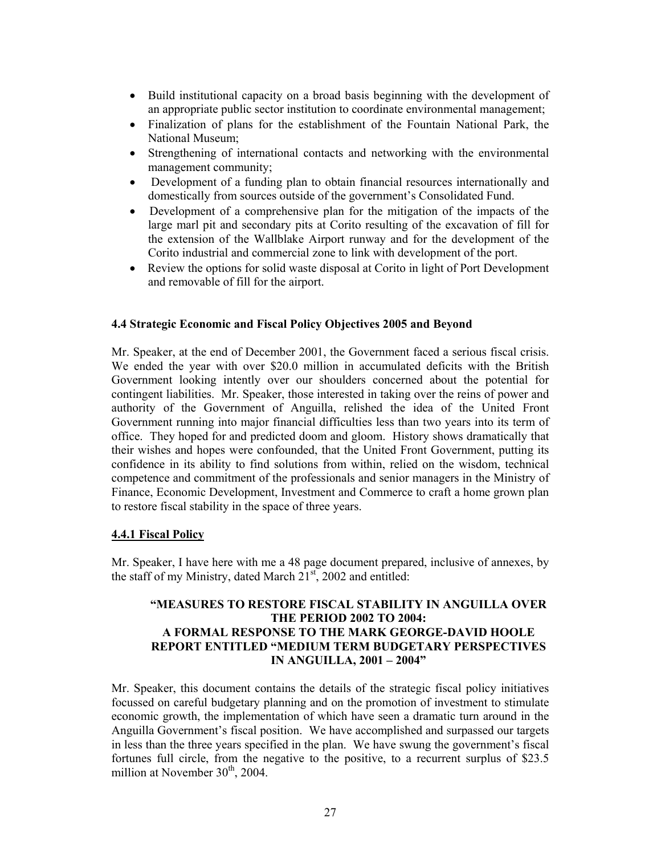- Build institutional capacity on a broad basis beginning with the development of an appropriate public sector institution to coordinate environmental management;
- Finalization of plans for the establishment of the Fountain National Park, the National Museum;
- Strengthening of international contacts and networking with the environmental management community;
- Development of a funding plan to obtain financial resources internationally and domestically from sources outside of the government's Consolidated Fund.
- Development of a comprehensive plan for the mitigation of the impacts of the large marl pit and secondary pits at Corito resulting of the excavation of fill for the extension of the Wallblake Airport runway and for the development of the Corito industrial and commercial zone to link with development of the port.
- Review the options for solid waste disposal at Corito in light of Port Development and removable of fill for the airport.

#### **4.4 Strategic Economic and Fiscal Policy Objectives 2005 and Beyond**

Mr. Speaker, at the end of December 2001, the Government faced a serious fiscal crisis. We ended the year with over \$20.0 million in accumulated deficits with the British Government looking intently over our shoulders concerned about the potential for contingent liabilities. Mr. Speaker, those interested in taking over the reins of power and authority of the Government of Anguilla, relished the idea of the United Front Government running into major financial difficulties less than two years into its term of office. They hoped for and predicted doom and gloom. History shows dramatically that their wishes and hopes were confounded, that the United Front Government, putting its confidence in its ability to find solutions from within, relied on the wisdom, technical competence and commitment of the professionals and senior managers in the Ministry of Finance, Economic Development, Investment and Commerce to craft a home grown plan to restore fiscal stability in the space of three years.

#### **4.4.1 Fiscal Policy**

Mr. Speaker, I have here with me a 48 page document prepared, inclusive of annexes, by the staff of my Ministry, dated March  $21<sup>st</sup>$ , 2002 and entitled:

### **"MEASURES TO RESTORE FISCAL STABILITY IN ANGUILLA OVER THE PERIOD 2002 TO 2004: A FORMAL RESPONSE TO THE MARK GEORGE-DAVID HOOLE REPORT ENTITLED "MEDIUM TERM BUDGETARY PERSPECTIVES IN ANGUILLA, 2001 – 2004"**

Mr. Speaker, this document contains the details of the strategic fiscal policy initiatives focussed on careful budgetary planning and on the promotion of investment to stimulate economic growth, the implementation of which have seen a dramatic turn around in the Anguilla Government's fiscal position. We have accomplished and surpassed our targets in less than the three years specified in the plan. We have swung the government's fiscal fortunes full circle, from the negative to the positive, to a recurrent surplus of \$23.5 million at November  $30<sup>th</sup>$ , 2004.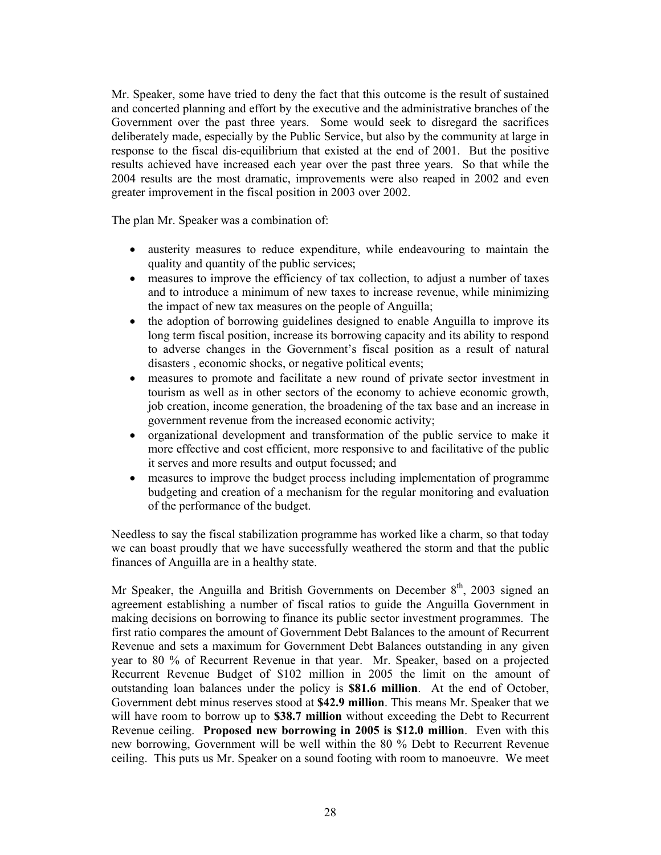Mr. Speaker, some have tried to deny the fact that this outcome is the result of sustained and concerted planning and effort by the executive and the administrative branches of the Government over the past three years. Some would seek to disregard the sacrifices deliberately made, especially by the Public Service, but also by the community at large in response to the fiscal dis-equilibrium that existed at the end of 2001. But the positive results achieved have increased each year over the past three years. So that while the 2004 results are the most dramatic, improvements were also reaped in 2002 and even greater improvement in the fiscal position in 2003 over 2002.

The plan Mr. Speaker was a combination of:

- austerity measures to reduce expenditure, while endeavouring to maintain the quality and quantity of the public services;
- measures to improve the efficiency of tax collection, to adjust a number of taxes and to introduce a minimum of new taxes to increase revenue, while minimizing the impact of new tax measures on the people of Anguilla;
- the adoption of borrowing guidelines designed to enable Anguilla to improve its long term fiscal position, increase its borrowing capacity and its ability to respond to adverse changes in the Government's fiscal position as a result of natural disasters , economic shocks, or negative political events;
- measures to promote and facilitate a new round of private sector investment in tourism as well as in other sectors of the economy to achieve economic growth, job creation, income generation, the broadening of the tax base and an increase in government revenue from the increased economic activity;
- organizational development and transformation of the public service to make it more effective and cost efficient, more responsive to and facilitative of the public it serves and more results and output focussed; and
- measures to improve the budget process including implementation of programme budgeting and creation of a mechanism for the regular monitoring and evaluation of the performance of the budget.

Needless to say the fiscal stabilization programme has worked like a charm, so that today we can boast proudly that we have successfully weathered the storm and that the public finances of Anguilla are in a healthy state.

Mr Speaker, the Anguilla and British Governments on December  $8<sup>th</sup>$ , 2003 signed an agreement establishing a number of fiscal ratios to guide the Anguilla Government in making decisions on borrowing to finance its public sector investment programmes. The first ratio compares the amount of Government Debt Balances to the amount of Recurrent Revenue and sets a maximum for Government Debt Balances outstanding in any given year to 80 % of Recurrent Revenue in that year. Mr. Speaker, based on a projected Recurrent Revenue Budget of \$102 million in 2005 the limit on the amount of outstanding loan balances under the policy is **\$81.6 million**. At the end of October, Government debt minus reserves stood at **\$42.9 million**. This means Mr. Speaker that we will have room to borrow up to **\$38.7 million** without exceeding the Debt to Recurrent Revenue ceiling. **Proposed new borrowing in 2005 is \$12.0 million**. Even with this new borrowing, Government will be well within the 80 % Debt to Recurrent Revenue ceiling. This puts us Mr. Speaker on a sound footing with room to manoeuvre. We meet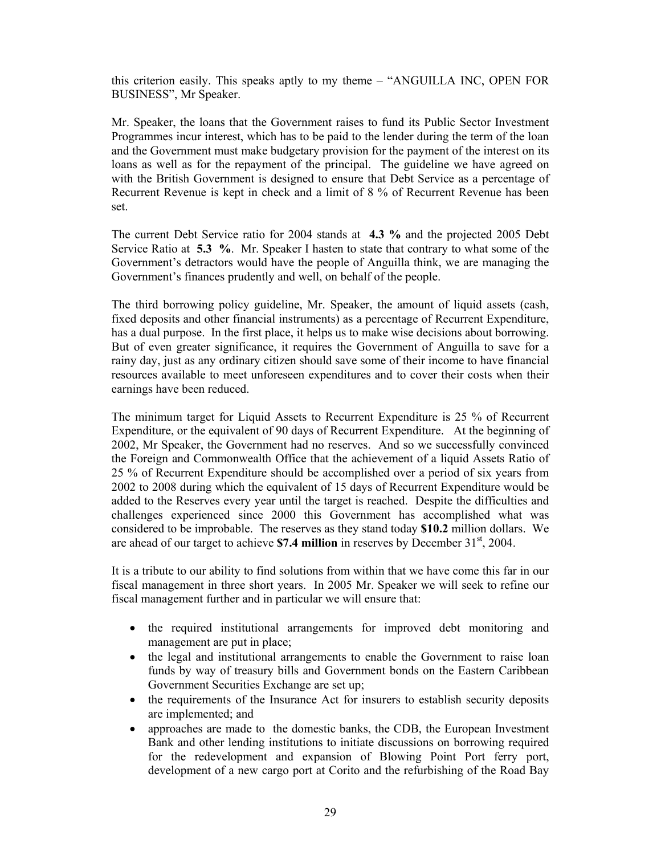this criterion easily. This speaks aptly to my theme – "ANGUILLA INC, OPEN FOR BUSINESS", Mr Speaker.

Mr. Speaker, the loans that the Government raises to fund its Public Sector Investment Programmes incur interest, which has to be paid to the lender during the term of the loan and the Government must make budgetary provision for the payment of the interest on its loans as well as for the repayment of the principal. The guideline we have agreed on with the British Government is designed to ensure that Debt Service as a percentage of Recurrent Revenue is kept in check and a limit of 8 % of Recurrent Revenue has been set.

The current Debt Service ratio for 2004 stands at **4.3 %** and the projected 2005 Debt Service Ratio at **5.3 %**. Mr. Speaker I hasten to state that contrary to what some of the Government's detractors would have the people of Anguilla think, we are managing the Government's finances prudently and well, on behalf of the people.

The third borrowing policy guideline, Mr. Speaker, the amount of liquid assets (cash, fixed deposits and other financial instruments) as a percentage of Recurrent Expenditure, has a dual purpose. In the first place, it helps us to make wise decisions about borrowing. But of even greater significance, it requires the Government of Anguilla to save for a rainy day, just as any ordinary citizen should save some of their income to have financial resources available to meet unforeseen expenditures and to cover their costs when their earnings have been reduced.

The minimum target for Liquid Assets to Recurrent Expenditure is 25 % of Recurrent Expenditure, or the equivalent of 90 days of Recurrent Expenditure. At the beginning of 2002, Mr Speaker, the Government had no reserves. And so we successfully convinced the Foreign and Commonwealth Office that the achievement of a liquid Assets Ratio of 25 % of Recurrent Expenditure should be accomplished over a period of six years from 2002 to 2008 during which the equivalent of 15 days of Recurrent Expenditure would be added to the Reserves every year until the target is reached. Despite the difficulties and challenges experienced since 2000 this Government has accomplished what was considered to be improbable. The reserves as they stand today **\$10.2** million dollars. We are ahead of our target to achieve  $$7.4$  million in reserves by December  $31<sup>st</sup>$ , 2004.

It is a tribute to our ability to find solutions from within that we have come this far in our fiscal management in three short years. In 2005 Mr. Speaker we will seek to refine our fiscal management further and in particular we will ensure that:

- the required institutional arrangements for improved debt monitoring and management are put in place;
- the legal and institutional arrangements to enable the Government to raise loan funds by way of treasury bills and Government bonds on the Eastern Caribbean Government Securities Exchange are set up;
- the requirements of the Insurance Act for insurers to establish security deposits are implemented; and
- approaches are made to the domestic banks, the CDB, the European Investment Bank and other lending institutions to initiate discussions on borrowing required for the redevelopment and expansion of Blowing Point Port ferry port, development of a new cargo port at Corito and the refurbishing of the Road Bay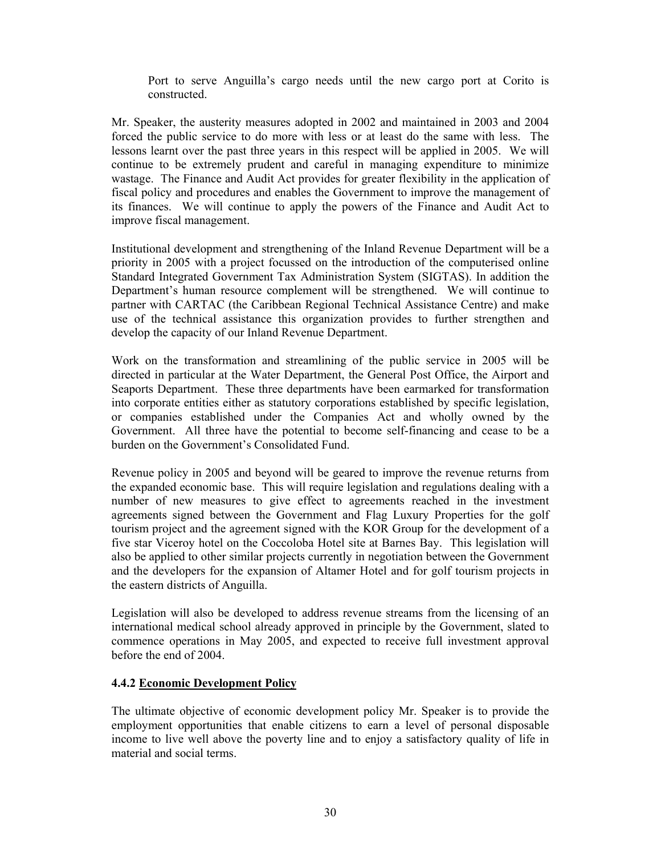Port to serve Anguilla's cargo needs until the new cargo port at Corito is constructed.

Mr. Speaker, the austerity measures adopted in 2002 and maintained in 2003 and 2004 forced the public service to do more with less or at least do the same with less. The lessons learnt over the past three years in this respect will be applied in 2005. We will continue to be extremely prudent and careful in managing expenditure to minimize wastage. The Finance and Audit Act provides for greater flexibility in the application of fiscal policy and procedures and enables the Government to improve the management of its finances. We will continue to apply the powers of the Finance and Audit Act to improve fiscal management.

Institutional development and strengthening of the Inland Revenue Department will be a priority in 2005 with a project focussed on the introduction of the computerised online Standard Integrated Government Tax Administration System (SIGTAS). In addition the Department's human resource complement will be strengthened. We will continue to partner with CARTAC (the Caribbean Regional Technical Assistance Centre) and make use of the technical assistance this organization provides to further strengthen and develop the capacity of our Inland Revenue Department.

Work on the transformation and streamlining of the public service in 2005 will be directed in particular at the Water Department, the General Post Office, the Airport and Seaports Department. These three departments have been earmarked for transformation into corporate entities either as statutory corporations established by specific legislation, or companies established under the Companies Act and wholly owned by the Government. All three have the potential to become self-financing and cease to be a burden on the Government's Consolidated Fund.

Revenue policy in 2005 and beyond will be geared to improve the revenue returns from the expanded economic base. This will require legislation and regulations dealing with a number of new measures to give effect to agreements reached in the investment agreements signed between the Government and Flag Luxury Properties for the golf tourism project and the agreement signed with the KOR Group for the development of a five star Viceroy hotel on the Coccoloba Hotel site at Barnes Bay. This legislation will also be applied to other similar projects currently in negotiation between the Government and the developers for the expansion of Altamer Hotel and for golf tourism projects in the eastern districts of Anguilla.

Legislation will also be developed to address revenue streams from the licensing of an international medical school already approved in principle by the Government, slated to commence operations in May 2005, and expected to receive full investment approval before the end of 2004.

#### **4.4.2 Economic Development Policy**

The ultimate objective of economic development policy Mr. Speaker is to provide the employment opportunities that enable citizens to earn a level of personal disposable income to live well above the poverty line and to enjoy a satisfactory quality of life in material and social terms.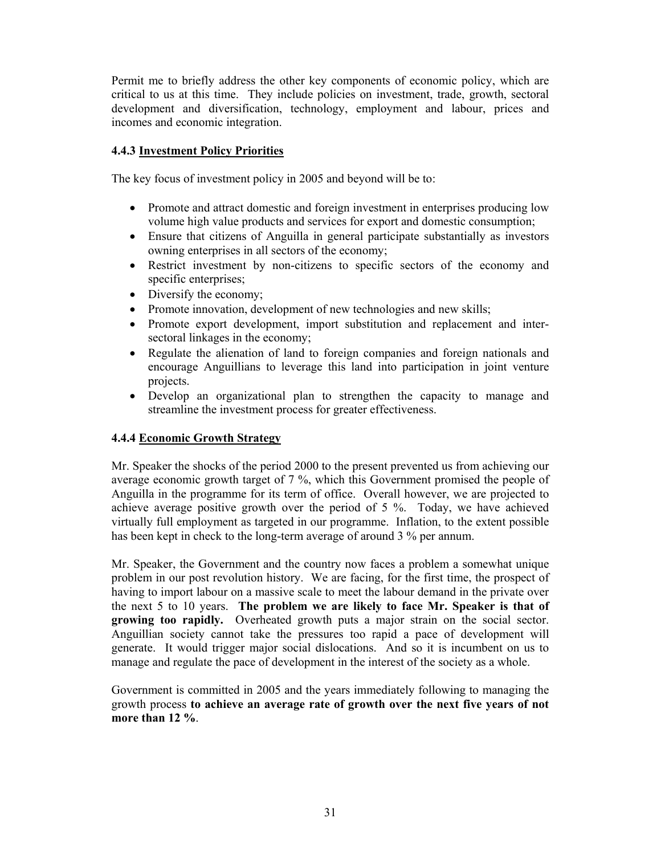Permit me to briefly address the other key components of economic policy, which are critical to us at this time. They include policies on investment, trade, growth, sectoral development and diversification, technology, employment and labour, prices and incomes and economic integration.

# **4.4.3 Investment Policy Priorities**

The key focus of investment policy in 2005 and beyond will be to:

- Promote and attract domestic and foreign investment in enterprises producing low volume high value products and services for export and domestic consumption;
- Ensure that citizens of Anguilla in general participate substantially as investors owning enterprises in all sectors of the economy;
- Restrict investment by non-citizens to specific sectors of the economy and specific enterprises;
- Diversify the economy;
- Promote innovation, development of new technologies and new skills;
- Promote export development, import substitution and replacement and intersectoral linkages in the economy;
- Regulate the alienation of land to foreign companies and foreign nationals and encourage Anguillians to leverage this land into participation in joint venture projects.
- Develop an organizational plan to strengthen the capacity to manage and streamline the investment process for greater effectiveness.

### **4.4.4 Economic Growth Strategy**

Mr. Speaker the shocks of the period 2000 to the present prevented us from achieving our average economic growth target of 7 %, which this Government promised the people of Anguilla in the programme for its term of office. Overall however, we are projected to achieve average positive growth over the period of 5 %. Today, we have achieved virtually full employment as targeted in our programme. Inflation, to the extent possible has been kept in check to the long-term average of around 3 % per annum.

Mr. Speaker, the Government and the country now faces a problem a somewhat unique problem in our post revolution history. We are facing, for the first time, the prospect of having to import labour on a massive scale to meet the labour demand in the private over the next 5 to 10 years. **The problem we are likely to face Mr. Speaker is that of growing too rapidly.** Overheated growth puts a major strain on the social sector. Anguillian society cannot take the pressures too rapid a pace of development will generate. It would trigger major social dislocations. And so it is incumbent on us to manage and regulate the pace of development in the interest of the society as a whole.

Government is committed in 2005 and the years immediately following to managing the growth process **to achieve an average rate of growth over the next five years of not more than 12 %**.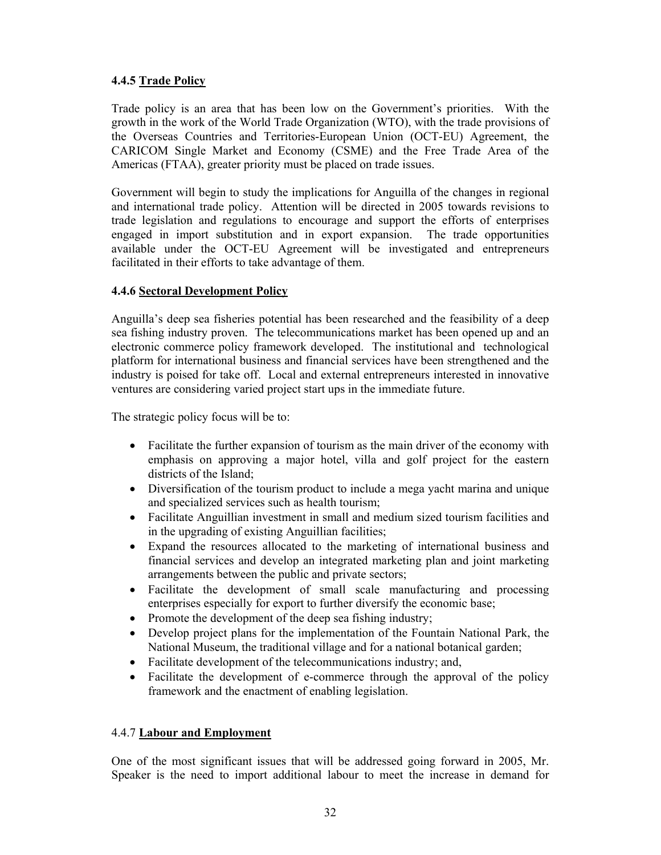### **4.4.5 Trade Policy**

Trade policy is an area that has been low on the Government's priorities. With the growth in the work of the World Trade Organization (WTO), with the trade provisions of the Overseas Countries and Territories-European Union (OCT-EU) Agreement, the CARICOM Single Market and Economy (CSME) and the Free Trade Area of the Americas (FTAA), greater priority must be placed on trade issues.

Government will begin to study the implications for Anguilla of the changes in regional and international trade policy. Attention will be directed in 2005 towards revisions to trade legislation and regulations to encourage and support the efforts of enterprises engaged in import substitution and in export expansion. The trade opportunities available under the OCT-EU Agreement will be investigated and entrepreneurs facilitated in their efforts to take advantage of them.

# **4.4.6 Sectoral Development Policy**

Anguilla's deep sea fisheries potential has been researched and the feasibility of a deep sea fishing industry proven. The telecommunications market has been opened up and an electronic commerce policy framework developed. The institutional and technological platform for international business and financial services have been strengthened and the industry is poised for take off. Local and external entrepreneurs interested in innovative ventures are considering varied project start ups in the immediate future.

The strategic policy focus will be to:

- Facilitate the further expansion of tourism as the main driver of the economy with emphasis on approving a major hotel, villa and golf project for the eastern districts of the Island;
- Diversification of the tourism product to include a mega yacht marina and unique and specialized services such as health tourism;
- Facilitate Anguillian investment in small and medium sized tourism facilities and in the upgrading of existing Anguillian facilities;
- Expand the resources allocated to the marketing of international business and financial services and develop an integrated marketing plan and joint marketing arrangements between the public and private sectors;
- Facilitate the development of small scale manufacturing and processing enterprises especially for export to further diversify the economic base;
- Promote the development of the deep sea fishing industry;
- Develop project plans for the implementation of the Fountain National Park, the National Museum, the traditional village and for a national botanical garden;
- Facilitate development of the telecommunications industry; and,
- Facilitate the development of e-commerce through the approval of the policy framework and the enactment of enabling legislation.

# 4.4.7 **Labour and Employment**

One of the most significant issues that will be addressed going forward in 2005, Mr. Speaker is the need to import additional labour to meet the increase in demand for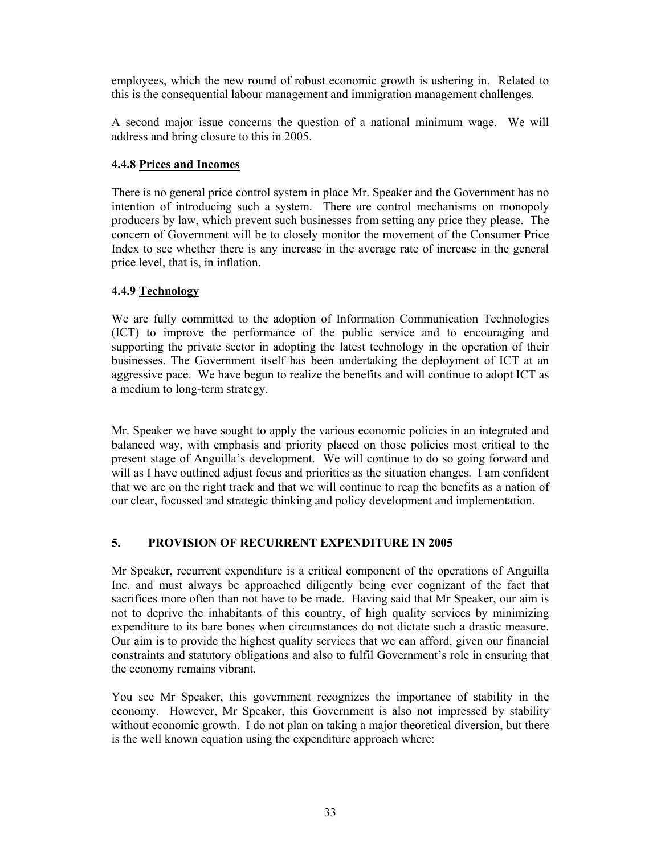employees, which the new round of robust economic growth is ushering in. Related to this is the consequential labour management and immigration management challenges.

A second major issue concerns the question of a national minimum wage. We will address and bring closure to this in 2005.

# **4.4.8 Prices and Incomes**

There is no general price control system in place Mr. Speaker and the Government has no intention of introducing such a system. There are control mechanisms on monopoly producers by law, which prevent such businesses from setting any price they please. The concern of Government will be to closely monitor the movement of the Consumer Price Index to see whether there is any increase in the average rate of increase in the general price level, that is, in inflation.

# **4.4.9 Technology**

We are fully committed to the adoption of Information Communication Technologies (ICT) to improve the performance of the public service and to encouraging and supporting the private sector in adopting the latest technology in the operation of their businesses. The Government itself has been undertaking the deployment of ICT at an aggressive pace. We have begun to realize the benefits and will continue to adopt ICT as a medium to long-term strategy.

Mr. Speaker we have sought to apply the various economic policies in an integrated and balanced way, with emphasis and priority placed on those policies most critical to the present stage of Anguilla's development. We will continue to do so going forward and will as I have outlined adjust focus and priorities as the situation changes. I am confident that we are on the right track and that we will continue to reap the benefits as a nation of our clear, focussed and strategic thinking and policy development and implementation.

# **5. PROVISION OF RECURRENT EXPENDITURE IN 2005**

Mr Speaker, recurrent expenditure is a critical component of the operations of Anguilla Inc. and must always be approached diligently being ever cognizant of the fact that sacrifices more often than not have to be made. Having said that Mr Speaker, our aim is not to deprive the inhabitants of this country, of high quality services by minimizing expenditure to its bare bones when circumstances do not dictate such a drastic measure. Our aim is to provide the highest quality services that we can afford, given our financial constraints and statutory obligations and also to fulfil Government's role in ensuring that the economy remains vibrant.

You see Mr Speaker, this government recognizes the importance of stability in the economy. However, Mr Speaker, this Government is also not impressed by stability without economic growth. I do not plan on taking a major theoretical diversion, but there is the well known equation using the expenditure approach where: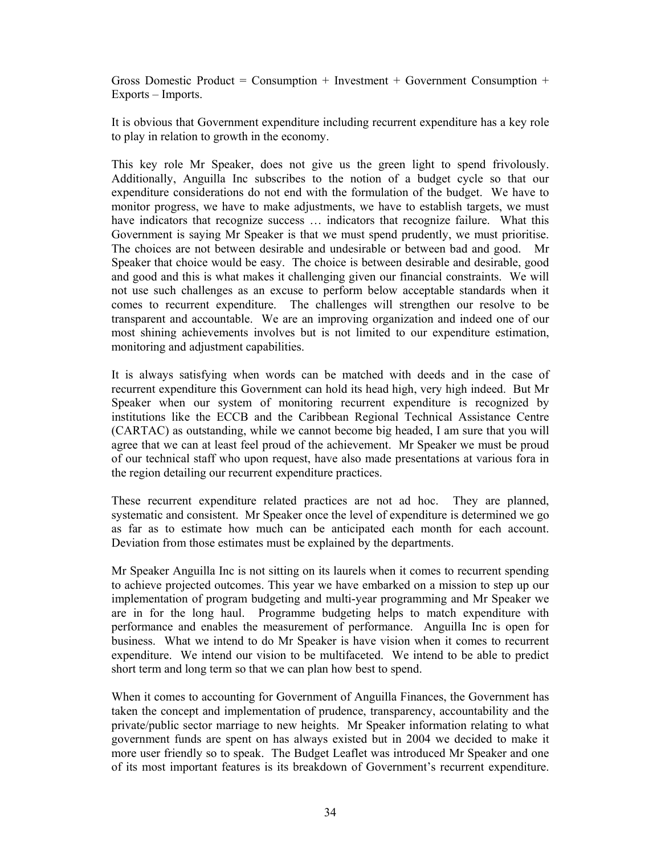Gross Domestic Product = Consumption + Investment + Government Consumption + Exports – Imports.

It is obvious that Government expenditure including recurrent expenditure has a key role to play in relation to growth in the economy.

This key role Mr Speaker, does not give us the green light to spend frivolously. Additionally, Anguilla Inc subscribes to the notion of a budget cycle so that our expenditure considerations do not end with the formulation of the budget. We have to monitor progress, we have to make adjustments, we have to establish targets, we must have indicators that recognize success … indicators that recognize failure. What this Government is saying Mr Speaker is that we must spend prudently, we must prioritise. The choices are not between desirable and undesirable or between bad and good. Mr Speaker that choice would be easy. The choice is between desirable and desirable, good and good and this is what makes it challenging given our financial constraints. We will not use such challenges as an excuse to perform below acceptable standards when it comes to recurrent expenditure. The challenges will strengthen our resolve to be transparent and accountable. We are an improving organization and indeed one of our most shining achievements involves but is not limited to our expenditure estimation, monitoring and adjustment capabilities.

It is always satisfying when words can be matched with deeds and in the case of recurrent expenditure this Government can hold its head high, very high indeed. But Mr Speaker when our system of monitoring recurrent expenditure is recognized by institutions like the ECCB and the Caribbean Regional Technical Assistance Centre (CARTAC) as outstanding, while we cannot become big headed, I am sure that you will agree that we can at least feel proud of the achievement. Mr Speaker we must be proud of our technical staff who upon request, have also made presentations at various fora in the region detailing our recurrent expenditure practices.

These recurrent expenditure related practices are not ad hoc. They are planned, systematic and consistent. Mr Speaker once the level of expenditure is determined we go as far as to estimate how much can be anticipated each month for each account. Deviation from those estimates must be explained by the departments.

Mr Speaker Anguilla Inc is not sitting on its laurels when it comes to recurrent spending to achieve projected outcomes. This year we have embarked on a mission to step up our implementation of program budgeting and multi-year programming and Mr Speaker we are in for the long haul. Programme budgeting helps to match expenditure with performance and enables the measurement of performance. Anguilla Inc is open for business. What we intend to do Mr Speaker is have vision when it comes to recurrent expenditure. We intend our vision to be multifaceted. We intend to be able to predict short term and long term so that we can plan how best to spend.

When it comes to accounting for Government of Anguilla Finances, the Government has taken the concept and implementation of prudence, transparency, accountability and the private/public sector marriage to new heights. Mr Speaker information relating to what government funds are spent on has always existed but in 2004 we decided to make it more user friendly so to speak. The Budget Leaflet was introduced Mr Speaker and one of its most important features is its breakdown of Government's recurrent expenditure.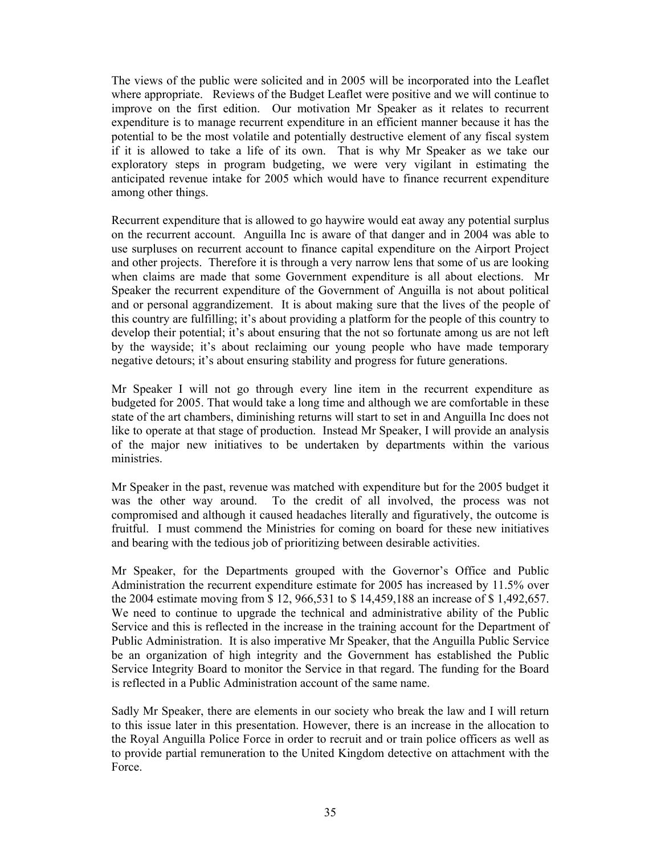The views of the public were solicited and in 2005 will be incorporated into the Leaflet where appropriate. Reviews of the Budget Leaflet were positive and we will continue to improve on the first edition. Our motivation Mr Speaker as it relates to recurrent expenditure is to manage recurrent expenditure in an efficient manner because it has the potential to be the most volatile and potentially destructive element of any fiscal system if it is allowed to take a life of its own. That is why Mr Speaker as we take our exploratory steps in program budgeting, we were very vigilant in estimating the anticipated revenue intake for 2005 which would have to finance recurrent expenditure among other things.

Recurrent expenditure that is allowed to go haywire would eat away any potential surplus on the recurrent account. Anguilla Inc is aware of that danger and in 2004 was able to use surpluses on recurrent account to finance capital expenditure on the Airport Project and other projects. Therefore it is through a very narrow lens that some of us are looking when claims are made that some Government expenditure is all about elections. Mr Speaker the recurrent expenditure of the Government of Anguilla is not about political and or personal aggrandizement. It is about making sure that the lives of the people of this country are fulfilling; it's about providing a platform for the people of this country to develop their potential; it's about ensuring that the not so fortunate among us are not left by the wayside; it's about reclaiming our young people who have made temporary negative detours; it's about ensuring stability and progress for future generations.

Mr Speaker I will not go through every line item in the recurrent expenditure as budgeted for 2005. That would take a long time and although we are comfortable in these state of the art chambers, diminishing returns will start to set in and Anguilla Inc does not like to operate at that stage of production. Instead Mr Speaker, I will provide an analysis of the major new initiatives to be undertaken by departments within the various ministries.

Mr Speaker in the past, revenue was matched with expenditure but for the 2005 budget it was the other way around. To the credit of all involved, the process was not compromised and although it caused headaches literally and figuratively, the outcome is fruitful. I must commend the Ministries for coming on board for these new initiatives and bearing with the tedious job of prioritizing between desirable activities.

Mr Speaker, for the Departments grouped with the Governor's Office and Public Administration the recurrent expenditure estimate for 2005 has increased by 11.5% over the 2004 estimate moving from \$ 12, 966,531 to \$ 14,459,188 an increase of \$ 1,492,657. We need to continue to upgrade the technical and administrative ability of the Public Service and this is reflected in the increase in the training account for the Department of Public Administration. It is also imperative Mr Speaker, that the Anguilla Public Service be an organization of high integrity and the Government has established the Public Service Integrity Board to monitor the Service in that regard. The funding for the Board is reflected in a Public Administration account of the same name.

Sadly Mr Speaker, there are elements in our society who break the law and I will return to this issue later in this presentation. However, there is an increase in the allocation to the Royal Anguilla Police Force in order to recruit and or train police officers as well as to provide partial remuneration to the United Kingdom detective on attachment with the Force.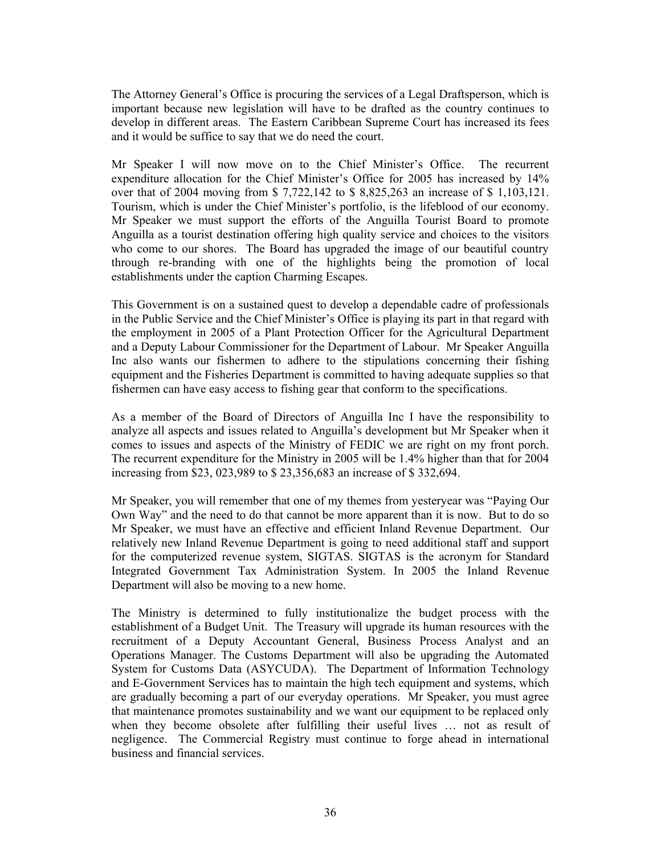The Attorney General's Office is procuring the services of a Legal Draftsperson, which is important because new legislation will have to be drafted as the country continues to develop in different areas. The Eastern Caribbean Supreme Court has increased its fees and it would be suffice to say that we do need the court.

Mr Speaker I will now move on to the Chief Minister's Office. The recurrent expenditure allocation for the Chief Minister's Office for 2005 has increased by 14% over that of 2004 moving from \$ 7,722,142 to \$ 8,825,263 an increase of \$ 1,103,121. Tourism, which is under the Chief Minister's portfolio, is the lifeblood of our economy. Mr Speaker we must support the efforts of the Anguilla Tourist Board to promote Anguilla as a tourist destination offering high quality service and choices to the visitors who come to our shores. The Board has upgraded the image of our beautiful country through re-branding with one of the highlights being the promotion of local establishments under the caption Charming Escapes.

This Government is on a sustained quest to develop a dependable cadre of professionals in the Public Service and the Chief Minister's Office is playing its part in that regard with the employment in 2005 of a Plant Protection Officer for the Agricultural Department and a Deputy Labour Commissioner for the Department of Labour. Mr Speaker Anguilla Inc also wants our fishermen to adhere to the stipulations concerning their fishing equipment and the Fisheries Department is committed to having adequate supplies so that fishermen can have easy access to fishing gear that conform to the specifications.

As a member of the Board of Directors of Anguilla Inc I have the responsibility to analyze all aspects and issues related to Anguilla's development but Mr Speaker when it comes to issues and aspects of the Ministry of FEDIC we are right on my front porch. The recurrent expenditure for the Ministry in 2005 will be 1.4% higher than that for 2004 increasing from \$23, 023,989 to \$ 23,356,683 an increase of \$ 332,694.

Mr Speaker, you will remember that one of my themes from yesteryear was "Paying Our Own Way" and the need to do that cannot be more apparent than it is now. But to do so Mr Speaker, we must have an effective and efficient Inland Revenue Department. Our relatively new Inland Revenue Department is going to need additional staff and support for the computerized revenue system, SIGTAS. SIGTAS is the acronym for Standard Integrated Government Tax Administration System. In 2005 the Inland Revenue Department will also be moving to a new home.

The Ministry is determined to fully institutionalize the budget process with the establishment of a Budget Unit. The Treasury will upgrade its human resources with the recruitment of a Deputy Accountant General, Business Process Analyst and an Operations Manager. The Customs Department will also be upgrading the Automated System for Customs Data (ASYCUDA). The Department of Information Technology and E-Government Services has to maintain the high tech equipment and systems, which are gradually becoming a part of our everyday operations. Mr Speaker, you must agree that maintenance promotes sustainability and we want our equipment to be replaced only when they become obsolete after fulfilling their useful lives ... not as result of negligence. The Commercial Registry must continue to forge ahead in international business and financial services.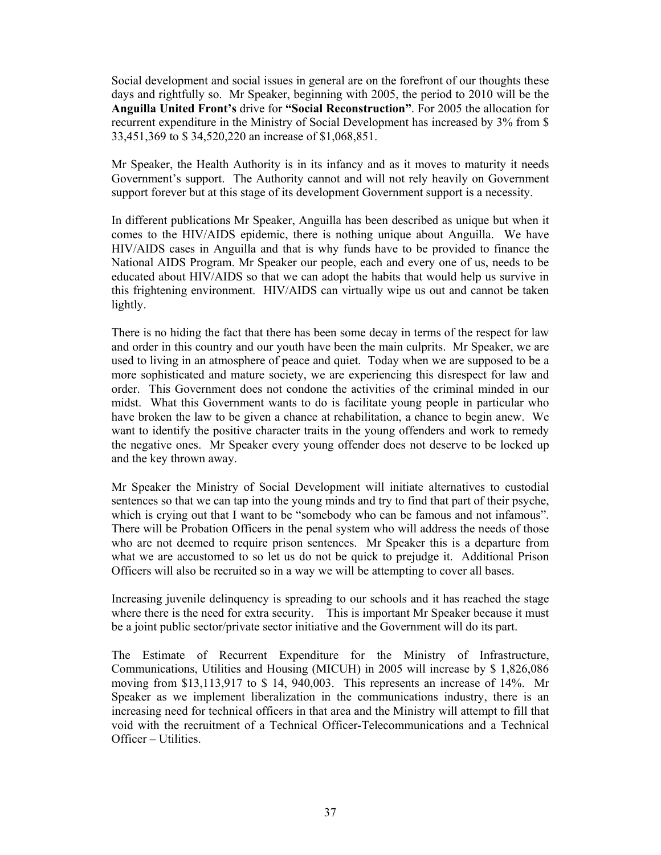Social development and social issues in general are on the forefront of our thoughts these days and rightfully so. Mr Speaker, beginning with 2005, the period to 2010 will be the **Anguilla United Front's** drive for **"Social Reconstruction"**. For 2005 the allocation for recurrent expenditure in the Ministry of Social Development has increased by 3% from \$ 33,451,369 to \$ 34,520,220 an increase of \$1,068,851.

Mr Speaker, the Health Authority is in its infancy and as it moves to maturity it needs Government's support. The Authority cannot and will not rely heavily on Government support forever but at this stage of its development Government support is a necessity.

In different publications Mr Speaker, Anguilla has been described as unique but when it comes to the HIV/AIDS epidemic, there is nothing unique about Anguilla. We have HIV/AIDS cases in Anguilla and that is why funds have to be provided to finance the National AIDS Program. Mr Speaker our people, each and every one of us, needs to be educated about HIV/AIDS so that we can adopt the habits that would help us survive in this frightening environment. HIV/AIDS can virtually wipe us out and cannot be taken lightly.

There is no hiding the fact that there has been some decay in terms of the respect for law and order in this country and our youth have been the main culprits. Mr Speaker, we are used to living in an atmosphere of peace and quiet. Today when we are supposed to be a more sophisticated and mature society, we are experiencing this disrespect for law and order. This Government does not condone the activities of the criminal minded in our midst. What this Government wants to do is facilitate young people in particular who have broken the law to be given a chance at rehabilitation, a chance to begin anew. We want to identify the positive character traits in the young offenders and work to remedy the negative ones. Mr Speaker every young offender does not deserve to be locked up and the key thrown away.

Mr Speaker the Ministry of Social Development will initiate alternatives to custodial sentences so that we can tap into the young minds and try to find that part of their psyche, which is crying out that I want to be "somebody who can be famous and not infamous". There will be Probation Officers in the penal system who will address the needs of those who are not deemed to require prison sentences. Mr Speaker this is a departure from what we are accustomed to so let us do not be quick to prejudge it. Additional Prison Officers will also be recruited so in a way we will be attempting to cover all bases.

Increasing juvenile delinquency is spreading to our schools and it has reached the stage where there is the need for extra security. This is important Mr Speaker because it must be a joint public sector/private sector initiative and the Government will do its part.

The Estimate of Recurrent Expenditure for the Ministry of Infrastructure, Communications, Utilities and Housing (MICUH) in 2005 will increase by \$ 1,826,086 moving from \$13,113,917 to \$ 14, 940,003. This represents an increase of 14%. Mr Speaker as we implement liberalization in the communications industry, there is an increasing need for technical officers in that area and the Ministry will attempt to fill that void with the recruitment of a Technical Officer-Telecommunications and a Technical Officer – Utilities.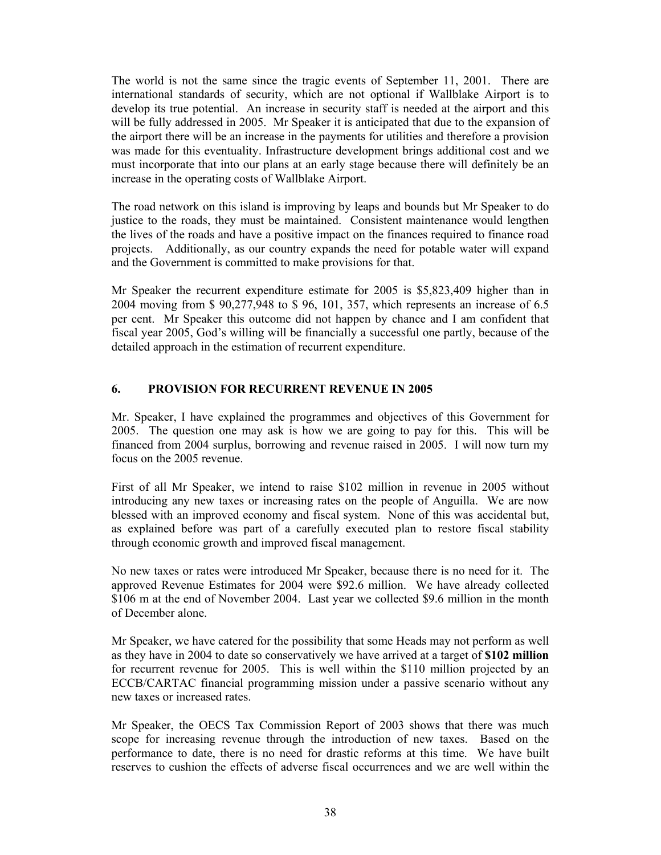The world is not the same since the tragic events of September 11, 2001. There are international standards of security, which are not optional if Wallblake Airport is to develop its true potential. An increase in security staff is needed at the airport and this will be fully addressed in 2005. Mr Speaker it is anticipated that due to the expansion of the airport there will be an increase in the payments for utilities and therefore a provision was made for this eventuality. Infrastructure development brings additional cost and we must incorporate that into our plans at an early stage because there will definitely be an increase in the operating costs of Wallblake Airport.

The road network on this island is improving by leaps and bounds but Mr Speaker to do justice to the roads, they must be maintained. Consistent maintenance would lengthen the lives of the roads and have a positive impact on the finances required to finance road projects. Additionally, as our country expands the need for potable water will expand and the Government is committed to make provisions for that.

Mr Speaker the recurrent expenditure estimate for 2005 is \$5,823,409 higher than in 2004 moving from \$ 90,277,948 to \$ 96, 101, 357, which represents an increase of 6.5 per cent. Mr Speaker this outcome did not happen by chance and I am confident that fiscal year 2005, God's willing will be financially a successful one partly, because of the detailed approach in the estimation of recurrent expenditure.

### **6. PROVISION FOR RECURRENT REVENUE IN 2005**

Mr. Speaker, I have explained the programmes and objectives of this Government for 2005. The question one may ask is how we are going to pay for this. This will be financed from 2004 surplus, borrowing and revenue raised in 2005. I will now turn my focus on the 2005 revenue.

First of all Mr Speaker, we intend to raise \$102 million in revenue in 2005 without introducing any new taxes or increasing rates on the people of Anguilla. We are now blessed with an improved economy and fiscal system. None of this was accidental but, as explained before was part of a carefully executed plan to restore fiscal stability through economic growth and improved fiscal management.

No new taxes or rates were introduced Mr Speaker, because there is no need for it. The approved Revenue Estimates for 2004 were \$92.6 million. We have already collected \$106 m at the end of November 2004. Last year we collected \$9.6 million in the month of December alone.

Mr Speaker, we have catered for the possibility that some Heads may not perform as well as they have in 2004 to date so conservatively we have arrived at a target of **\$102 million** for recurrent revenue for 2005. This is well within the \$110 million projected by an ECCB/CARTAC financial programming mission under a passive scenario without any new taxes or increased rates.

Mr Speaker, the OECS Tax Commission Report of 2003 shows that there was much scope for increasing revenue through the introduction of new taxes. Based on the performance to date, there is no need for drastic reforms at this time. We have built reserves to cushion the effects of adverse fiscal occurrences and we are well within the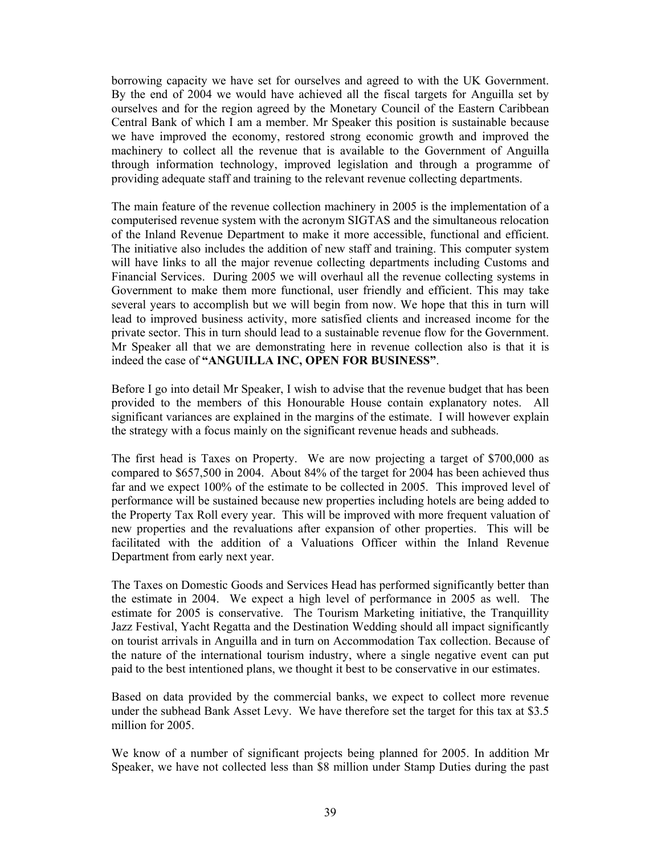borrowing capacity we have set for ourselves and agreed to with the UK Government. By the end of 2004 we would have achieved all the fiscal targets for Anguilla set by ourselves and for the region agreed by the Monetary Council of the Eastern Caribbean Central Bank of which I am a member. Mr Speaker this position is sustainable because we have improved the economy, restored strong economic growth and improved the machinery to collect all the revenue that is available to the Government of Anguilla through information technology, improved legislation and through a programme of providing adequate staff and training to the relevant revenue collecting departments.

The main feature of the revenue collection machinery in 2005 is the implementation of a computerised revenue system with the acronym SIGTAS and the simultaneous relocation of the Inland Revenue Department to make it more accessible, functional and efficient. The initiative also includes the addition of new staff and training. This computer system will have links to all the major revenue collecting departments including Customs and Financial Services. During 2005 we will overhaul all the revenue collecting systems in Government to make them more functional, user friendly and efficient. This may take several years to accomplish but we will begin from now. We hope that this in turn will lead to improved business activity, more satisfied clients and increased income for the private sector. This in turn should lead to a sustainable revenue flow for the Government. Mr Speaker all that we are demonstrating here in revenue collection also is that it is indeed the case of **"ANGUILLA INC, OPEN FOR BUSINESS"**.

Before I go into detail Mr Speaker, I wish to advise that the revenue budget that has been provided to the members of this Honourable House contain explanatory notes. All significant variances are explained in the margins of the estimate. I will however explain the strategy with a focus mainly on the significant revenue heads and subheads.

The first head is Taxes on Property. We are now projecting a target of \$700,000 as compared to \$657,500 in 2004. About 84% of the target for 2004 has been achieved thus far and we expect 100% of the estimate to be collected in 2005. This improved level of performance will be sustained because new properties including hotels are being added to the Property Tax Roll every year. This will be improved with more frequent valuation of new properties and the revaluations after expansion of other properties. This will be facilitated with the addition of a Valuations Officer within the Inland Revenue Department from early next year.

The Taxes on Domestic Goods and Services Head has performed significantly better than the estimate in 2004. We expect a high level of performance in 2005 as well. The estimate for 2005 is conservative. The Tourism Marketing initiative, the Tranquillity Jazz Festival, Yacht Regatta and the Destination Wedding should all impact significantly on tourist arrivals in Anguilla and in turn on Accommodation Tax collection. Because of the nature of the international tourism industry, where a single negative event can put paid to the best intentioned plans, we thought it best to be conservative in our estimates.

Based on data provided by the commercial banks, we expect to collect more revenue under the subhead Bank Asset Levy. We have therefore set the target for this tax at \$3.5 million for 2005.

We know of a number of significant projects being planned for 2005. In addition Mr Speaker, we have not collected less than \$8 million under Stamp Duties during the past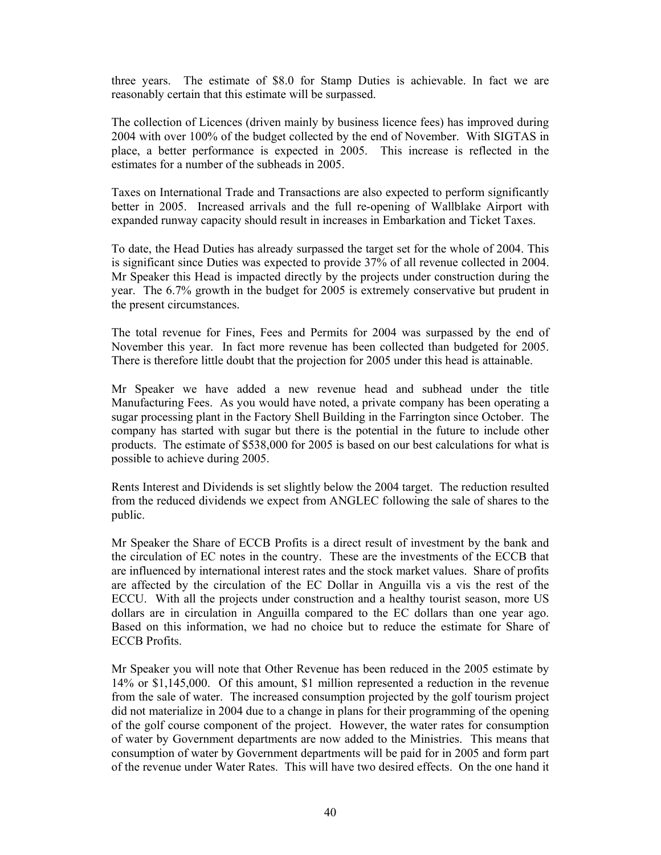three years. The estimate of \$8.0 for Stamp Duties is achievable. In fact we are reasonably certain that this estimate will be surpassed.

The collection of Licences (driven mainly by business licence fees) has improved during 2004 with over 100% of the budget collected by the end of November. With SIGTAS in place, a better performance is expected in 2005. This increase is reflected in the estimates for a number of the subheads in 2005.

Taxes on International Trade and Transactions are also expected to perform significantly better in 2005. Increased arrivals and the full re-opening of Wallblake Airport with expanded runway capacity should result in increases in Embarkation and Ticket Taxes.

To date, the Head Duties has already surpassed the target set for the whole of 2004. This is significant since Duties was expected to provide 37% of all revenue collected in 2004. Mr Speaker this Head is impacted directly by the projects under construction during the year. The 6.7% growth in the budget for 2005 is extremely conservative but prudent in the present circumstances.

The total revenue for Fines, Fees and Permits for 2004 was surpassed by the end of November this year. In fact more revenue has been collected than budgeted for 2005. There is therefore little doubt that the projection for 2005 under this head is attainable.

Mr Speaker we have added a new revenue head and subhead under the title Manufacturing Fees. As you would have noted, a private company has been operating a sugar processing plant in the Factory Shell Building in the Farrington since October. The company has started with sugar but there is the potential in the future to include other products. The estimate of \$538,000 for 2005 is based on our best calculations for what is possible to achieve during 2005.

Rents Interest and Dividends is set slightly below the 2004 target. The reduction resulted from the reduced dividends we expect from ANGLEC following the sale of shares to the public.

Mr Speaker the Share of ECCB Profits is a direct result of investment by the bank and the circulation of EC notes in the country. These are the investments of the ECCB that are influenced by international interest rates and the stock market values. Share of profits are affected by the circulation of the EC Dollar in Anguilla vis a vis the rest of the ECCU. With all the projects under construction and a healthy tourist season, more US dollars are in circulation in Anguilla compared to the EC dollars than one year ago. Based on this information, we had no choice but to reduce the estimate for Share of ECCB Profits.

Mr Speaker you will note that Other Revenue has been reduced in the 2005 estimate by 14% or \$1,145,000. Of this amount, \$1 million represented a reduction in the revenue from the sale of water. The increased consumption projected by the golf tourism project did not materialize in 2004 due to a change in plans for their programming of the opening of the golf course component of the project. However, the water rates for consumption of water by Government departments are now added to the Ministries. This means that consumption of water by Government departments will be paid for in 2005 and form part of the revenue under Water Rates. This will have two desired effects. On the one hand it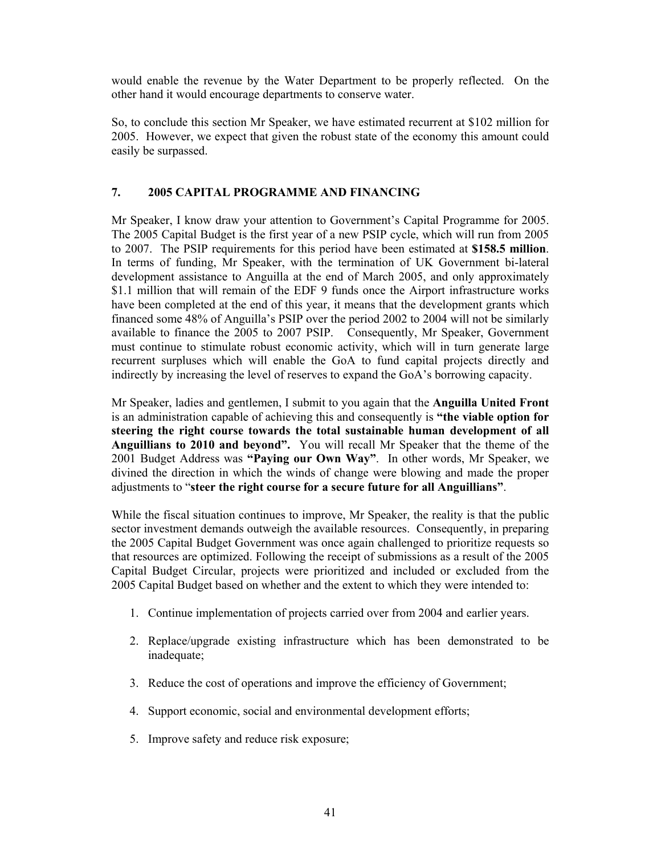would enable the revenue by the Water Department to be properly reflected. On the other hand it would encourage departments to conserve water.

So, to conclude this section Mr Speaker, we have estimated recurrent at \$102 million for 2005. However, we expect that given the robust state of the economy this amount could easily be surpassed.

# **7. 2005 CAPITAL PROGRAMME AND FINANCING**

Mr Speaker, I know draw your attention to Government's Capital Programme for 2005. The 2005 Capital Budget is the first year of a new PSIP cycle, which will run from 2005 to 2007. The PSIP requirements for this period have been estimated at **\$158.5 million**. In terms of funding, Mr Speaker, with the termination of UK Government bi-lateral development assistance to Anguilla at the end of March 2005, and only approximately \$1.1 million that will remain of the EDF 9 funds once the Airport infrastructure works have been completed at the end of this year, it means that the development grants which financed some 48% of Anguilla's PSIP over the period 2002 to 2004 will not be similarly available to finance the 2005 to 2007 PSIP. Consequently, Mr Speaker, Government must continue to stimulate robust economic activity, which will in turn generate large recurrent surpluses which will enable the GoA to fund capital projects directly and indirectly by increasing the level of reserves to expand the GoA's borrowing capacity.

Mr Speaker, ladies and gentlemen, I submit to you again that the **Anguilla United Front** is an administration capable of achieving this and consequently is **"the viable option for steering the right course towards the total sustainable human development of all Anguillians to 2010 and beyond".** You will recall Mr Speaker that the theme of the 2001 Budget Address was **"Paying our Own Way"**. In other words, Mr Speaker, we divined the direction in which the winds of change were blowing and made the proper adjustments to "**steer the right course for a secure future for all Anguillians"**.

While the fiscal situation continues to improve, Mr Speaker, the reality is that the public sector investment demands outweigh the available resources. Consequently, in preparing the 2005 Capital Budget Government was once again challenged to prioritize requests so that resources are optimized. Following the receipt of submissions as a result of the 2005 Capital Budget Circular, projects were prioritized and included or excluded from the 2005 Capital Budget based on whether and the extent to which they were intended to:

- 1. Continue implementation of projects carried over from 2004 and earlier years.
- 2. Replace/upgrade existing infrastructure which has been demonstrated to be inadequate;
- 3. Reduce the cost of operations and improve the efficiency of Government;
- 4. Support economic, social and environmental development efforts;
- 5. Improve safety and reduce risk exposure;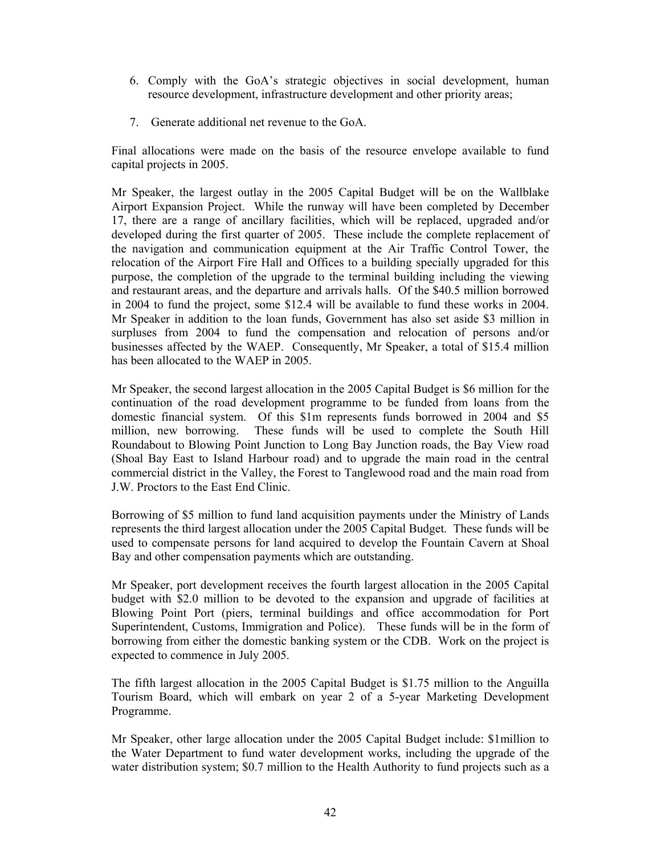- 6. Comply with the GoA's strategic objectives in social development, human resource development, infrastructure development and other priority areas;
- 7. Generate additional net revenue to the GoA.

Final allocations were made on the basis of the resource envelope available to fund capital projects in 2005.

Mr Speaker, the largest outlay in the 2005 Capital Budget will be on the Wallblake Airport Expansion Project. While the runway will have been completed by December 17, there are a range of ancillary facilities, which will be replaced, upgraded and/or developed during the first quarter of 2005. These include the complete replacement of the navigation and communication equipment at the Air Traffic Control Tower, the relocation of the Airport Fire Hall and Offices to a building specially upgraded for this purpose, the completion of the upgrade to the terminal building including the viewing and restaurant areas, and the departure and arrivals halls. Of the \$40.5 million borrowed in 2004 to fund the project, some \$12.4 will be available to fund these works in 2004. Mr Speaker in addition to the loan funds, Government has also set aside \$3 million in surpluses from 2004 to fund the compensation and relocation of persons and/or businesses affected by the WAEP. Consequently, Mr Speaker, a total of \$15.4 million has been allocated to the WAEP in 2005.

Mr Speaker, the second largest allocation in the 2005 Capital Budget is \$6 million for the continuation of the road development programme to be funded from loans from the domestic financial system. Of this \$1m represents funds borrowed in 2004 and \$5 million, new borrowing. These funds will be used to complete the South Hill Roundabout to Blowing Point Junction to Long Bay Junction roads, the Bay View road (Shoal Bay East to Island Harbour road) and to upgrade the main road in the central commercial district in the Valley, the Forest to Tanglewood road and the main road from J.W. Proctors to the East End Clinic.

Borrowing of \$5 million to fund land acquisition payments under the Ministry of Lands represents the third largest allocation under the 2005 Capital Budget. These funds will be used to compensate persons for land acquired to develop the Fountain Cavern at Shoal Bay and other compensation payments which are outstanding.

Mr Speaker, port development receives the fourth largest allocation in the 2005 Capital budget with \$2.0 million to be devoted to the expansion and upgrade of facilities at Blowing Point Port (piers, terminal buildings and office accommodation for Port Superintendent, Customs, Immigration and Police). These funds will be in the form of borrowing from either the domestic banking system or the CDB. Work on the project is expected to commence in July 2005.

The fifth largest allocation in the 2005 Capital Budget is \$1.75 million to the Anguilla Tourism Board, which will embark on year 2 of a 5-year Marketing Development Programme.

Mr Speaker, other large allocation under the 2005 Capital Budget include: \$1million to the Water Department to fund water development works, including the upgrade of the water distribution system; \$0.7 million to the Health Authority to fund projects such as a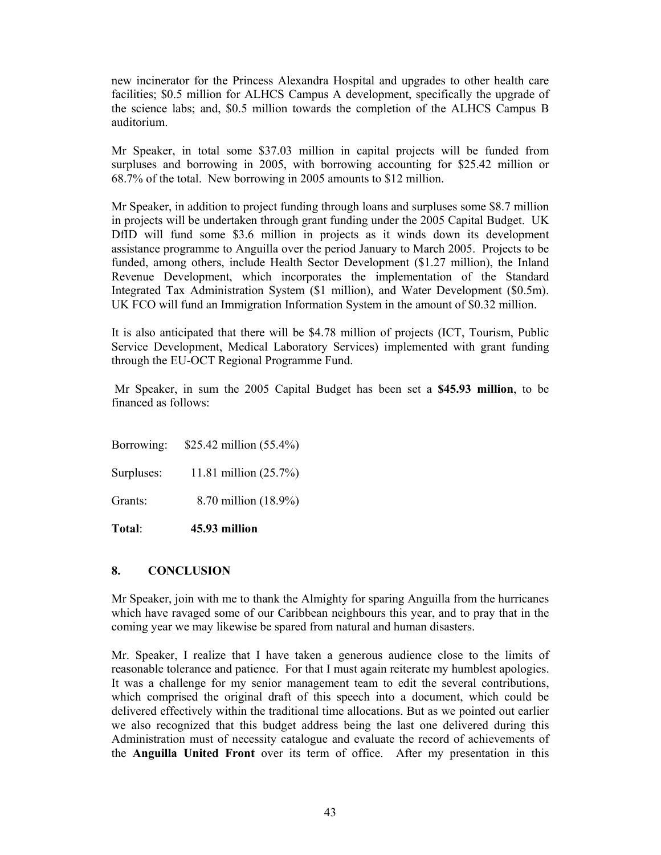new incinerator for the Princess Alexandra Hospital and upgrades to other health care facilities; \$0.5 million for ALHCS Campus A development, specifically the upgrade of the science labs; and, \$0.5 million towards the completion of the ALHCS Campus B auditorium.

Mr Speaker, in total some \$37.03 million in capital projects will be funded from surpluses and borrowing in 2005, with borrowing accounting for \$25.42 million or 68.7% of the total. New borrowing in 2005 amounts to \$12 million.

Mr Speaker, in addition to project funding through loans and surpluses some \$8.7 million in projects will be undertaken through grant funding under the 2005 Capital Budget. UK DfID will fund some \$3.6 million in projects as it winds down its development assistance programme to Anguilla over the period January to March 2005. Projects to be funded, among others, include Health Sector Development (\$1.27 million), the Inland Revenue Development, which incorporates the implementation of the Standard Integrated Tax Administration System (\$1 million), and Water Development (\$0.5m). UK FCO will fund an Immigration Information System in the amount of \$0.32 million.

It is also anticipated that there will be \$4.78 million of projects (ICT, Tourism, Public Service Development, Medical Laboratory Services) implemented with grant funding through the EU-OCT Regional Programme Fund.

 Mr Speaker, in sum the 2005 Capital Budget has been set a **\$45.93 million**, to be financed as follows:

Borrowing: \$25.42 million (55.4%)

Surpluses: 11.81 million (25.7%)

Grants: 8.70 million (18.9%)

**Total**: **45.93 million** 

#### **8. CONCLUSION**

Mr Speaker, join with me to thank the Almighty for sparing Anguilla from the hurricanes which have ravaged some of our Caribbean neighbours this year, and to pray that in the coming year we may likewise be spared from natural and human disasters.

Mr. Speaker, I realize that I have taken a generous audience close to the limits of reasonable tolerance and patience. For that I must again reiterate my humblest apologies. It was a challenge for my senior management team to edit the several contributions, which comprised the original draft of this speech into a document, which could be delivered effectively within the traditional time allocations. But as we pointed out earlier we also recognized that this budget address being the last one delivered during this Administration must of necessity catalogue and evaluate the record of achievements of the **Anguilla United Front** over its term of office. After my presentation in this